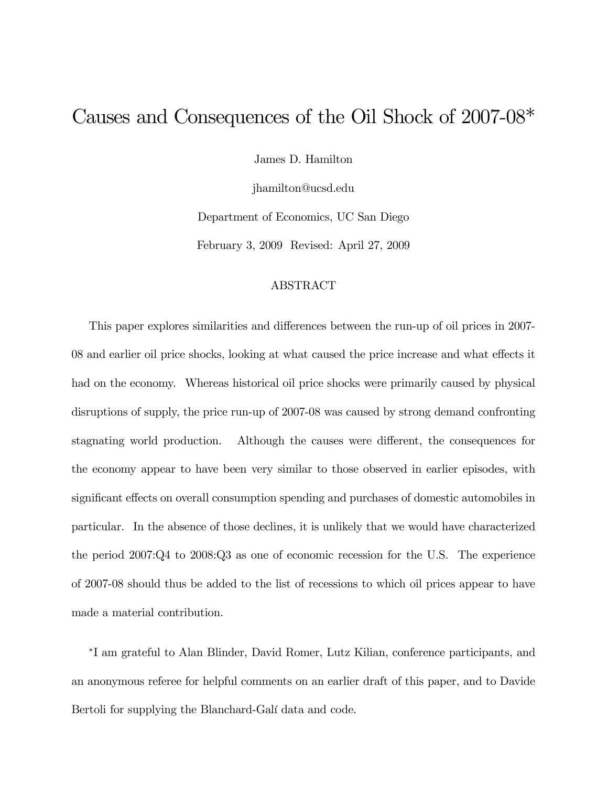# Causes and Consequences of the Oil Shock of 2007-08\*

James D. Hamilton

jhamilton@ucsd.edu

Department of Economics, UC San Diego February 3, 2009 Revised: April 27, 2009

#### ABSTRACT

This paper explores similarities and differences between the run-up of oil prices in 2007- 08 and earlier oil price shocks, looking at what caused the price increase and what effects it had on the economy. Whereas historical oil price shocks were primarily caused by physical disruptions of supply, the price run-up of 2007-08 was caused by strong demand confronting stagnating world production. Although the causes were different, the consequences for the economy appear to have been very similar to those observed in earlier episodes, with significant effects on overall consumption spending and purchases of domestic automobiles in particular. In the absence of those declines, it is unlikely that we would have characterized the period 2007:Q4 to 2008:Q3 as one of economic recession for the U.S. The experience of 2007-08 should thus be added to the list of recessions to which oil prices appear to have made a material contribution.

<sup>∗</sup>I am grateful to Alan Blinder, David Romer, Lutz Kilian, conference participants, and an anonymous referee for helpful comments on an earlier draft of this paper, and to Davide Bertoli for supplying the Blanchard-Galí data and code.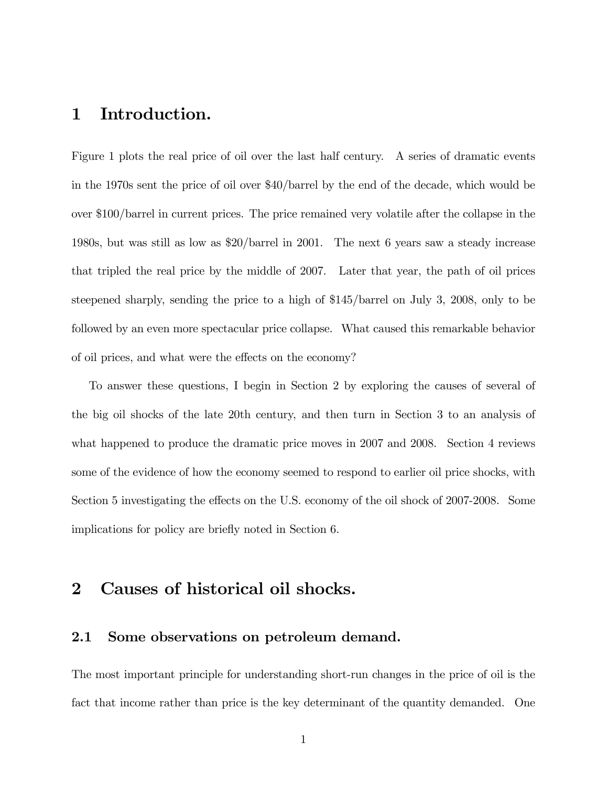### 1 Introduction.

Figure 1 plots the real price of oil over the last half century. A series of dramatic events in the 1970s sent the price of oil over \$40/barrel by the end of the decade, which would be over \$100/barrel in current prices. The price remained very volatile after the collapse in the 1980s, but was still as low as \$20/barrel in 2001. The next 6 years saw a steady increase that tripled the real price by the middle of 2007. Later that year, the path of oil prices steepened sharply, sending the price to a high of \$145/barrel on July 3, 2008, only to be followed by an even more spectacular price collapse. What caused this remarkable behavior of oil prices, and what were the effects on the economy?

To answer these questions, I begin in Section 2 by exploring the causes of several of the big oil shocks of the late 20th century, and then turn in Section 3 to an analysis of what happened to produce the dramatic price moves in 2007 and 2008. Section 4 reviews some of the evidence of how the economy seemed to respond to earlier oil price shocks, with Section 5 investigating the effects on the U.S. economy of the oil shock of 2007-2008. Some implications for policy are briefly noted in Section 6.

### 2 Causes of historical oil shocks.

#### 2.1 Some observations on petroleum demand.

The most important principle for understanding short-run changes in the price of oil is the fact that income rather than price is the key determinant of the quantity demanded. One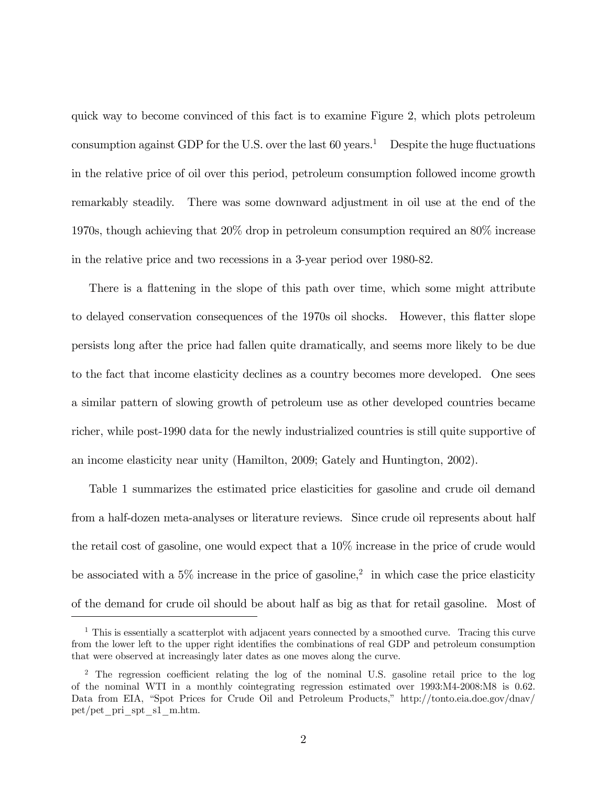quick way to become convinced of this fact is to examine Figure 2, which plots petroleum consumption against GDP for the U.S. over the last  $60 \text{ years}$ .<sup>1</sup> Despite the huge fluctuations in the relative price of oil over this period, petroleum consumption followed income growth remarkably steadily. There was some downward adjustment in oil use at the end of the 1970s, though achieving that 20% drop in petroleum consumption required an 80% increase in the relative price and two recessions in a 3-year period over 1980-82.

There is a flattening in the slope of this path over time, which some might attribute to delayed conservation consequences of the 1970s oil shocks. However, this flatter slope persists long after the price had fallen quite dramatically, and seems more likely to be due to the fact that income elasticity declines as a country becomes more developed. One sees a similar pattern of slowing growth of petroleum use as other developed countries became richer, while post-1990 data for the newly industrialized countries is still quite supportive of an income elasticity near unity (Hamilton, 2009; Gately and Huntington, 2002).

Table 1 summarizes the estimated price elasticities for gasoline and crude oil demand from a half-dozen meta-analyses or literature reviews. Since crude oil represents about half the retail cost of gasoline, one would expect that a 10% increase in the price of crude would be associated with a  $5\%$  increase in the price of gasoline,<sup>2</sup> in which case the price elasticity of the demand for crude oil should be about half as big as that for retail gasoline. Most of

<sup>&</sup>lt;sup>1</sup> This is essentially a scatterplot with adjacent years connected by a smoothed curve. Tracing this curve from the lower left to the upper right identifies the combinations of real GDP and petroleum consumption that were observed at increasingly later dates as one moves along the curve.

<sup>&</sup>lt;sup>2</sup> The regression coefficient relating the log of the nominal U.S. gasoline retail price to the log of the nominal WTI in a monthly cointegrating regression estimated over 1993:M4-2008:M8 is 0.62. Data from EIA, "Spot Prices for Crude Oil and Petroleum Products," http://tonto.eia.doe.gov/dnav/ pet/pet\_pri\_spt\_s1\_m.htm.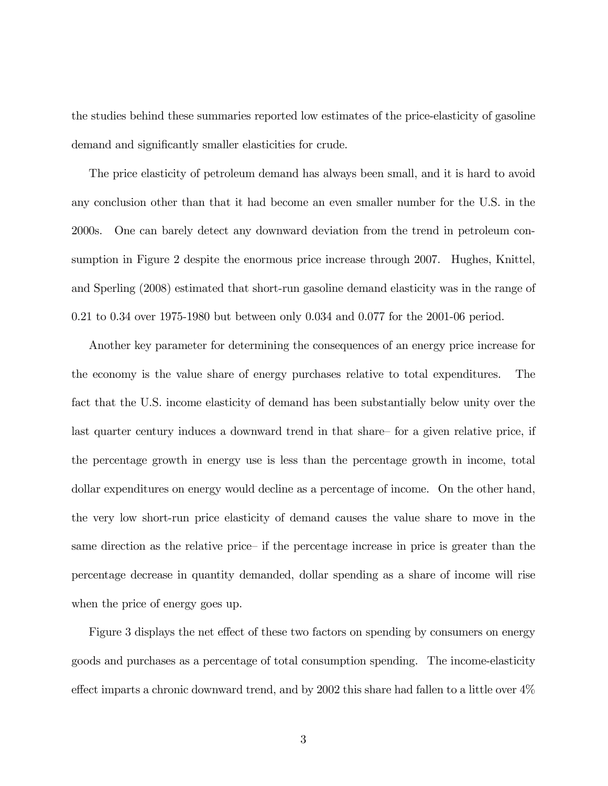the studies behind these summaries reported low estimates of the price-elasticity of gasoline demand and significantly smaller elasticities for crude.

The price elasticity of petroleum demand has always been small, and it is hard to avoid any conclusion other than that it had become an even smaller number for the U.S. in the 2000s. One can barely detect any downward deviation from the trend in petroleum consumption in Figure 2 despite the enormous price increase through 2007. Hughes, Knittel, and Sperling (2008) estimated that short-run gasoline demand elasticity was in the range of 0.21 to 0.34 over 1975-1980 but between only 0.034 and 0.077 for the 2001-06 period.

Another key parameter for determining the consequences of an energy price increase for the economy is the value share of energy purchases relative to total expenditures. The fact that the U.S. income elasticity of demand has been substantially below unity over the last quarter century induces a downward trend in that share— for a given relative price, if the percentage growth in energy use is less than the percentage growth in income, total dollar expenditures on energy would decline as a percentage of income. On the other hand, the very low short-run price elasticity of demand causes the value share to move in the same direction as the relative price— if the percentage increase in price is greater than the percentage decrease in quantity demanded, dollar spending as a share of income will rise when the price of energy goes up.

Figure 3 displays the net effect of these two factors on spending by consumers on energy goods and purchases as a percentage of total consumption spending. The income-elasticity effect imparts a chronic downward trend, and by 2002 this share had fallen to a little over 4%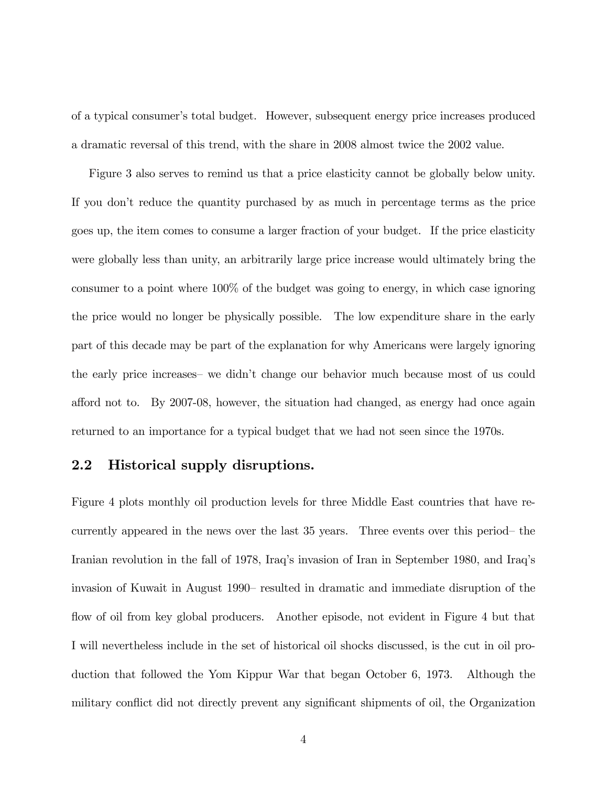of a typical consumer's total budget. However, subsequent energy price increases produced a dramatic reversal of this trend, with the share in 2008 almost twice the 2002 value.

Figure 3 also serves to remind us that a price elasticity cannot be globally below unity. If you don't reduce the quantity purchased by as much in percentage terms as the price goes up, the item comes to consume a larger fraction of your budget. If the price elasticity were globally less than unity, an arbitrarily large price increase would ultimately bring the consumer to a point where 100% of the budget was going to energy, in which case ignoring the price would no longer be physically possible. The low expenditure share in the early part of this decade may be part of the explanation for why Americans were largely ignoring the early price increases— we didn't change our behavior much because most of us could afford not to. By 2007-08, however, the situation had changed, as energy had once again returned to an importance for a typical budget that we had not seen since the 1970s.

#### 2.2 Historical supply disruptions.

Figure 4 plots monthly oil production levels for three Middle East countries that have recurrently appeared in the news over the last 35 years. Three events over this period— the Iranian revolution in the fall of 1978, Iraq's invasion of Iran in September 1980, and Iraq's invasion of Kuwait in August 1990— resulted in dramatic and immediate disruption of the flow of oil from key global producers. Another episode, not evident in Figure 4 but that I will nevertheless include in the set of historical oil shocks discussed, is the cut in oil production that followed the Yom Kippur War that began October 6, 1973. Although the military conflict did not directly prevent any significant shipments of oil, the Organization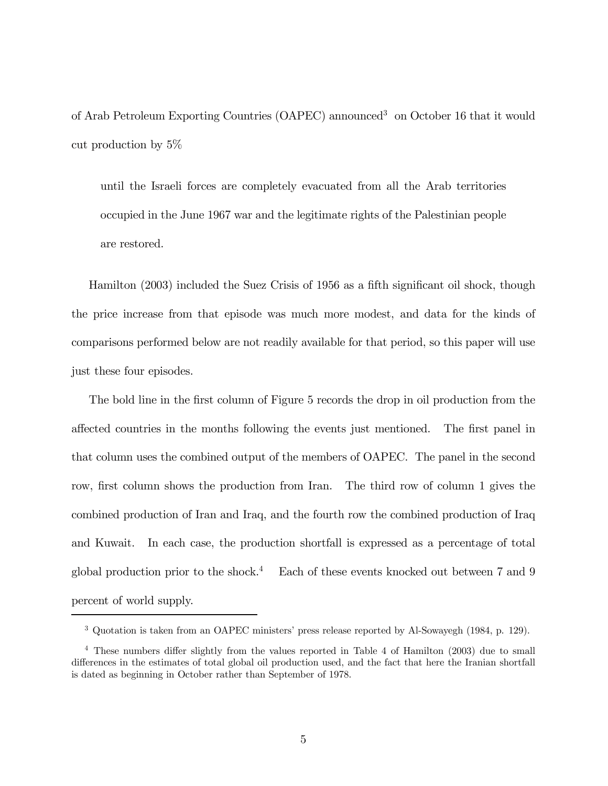of Arab Petroleum Exporting Countries (OAPEC) announced3 on October 16 that it would cut production by 5%

until the Israeli forces are completely evacuated from all the Arab territories occupied in the June 1967 war and the legitimate rights of the Palestinian people are restored.

Hamilton (2003) included the Suez Crisis of 1956 as a fifth significant oil shock, though the price increase from that episode was much more modest, and data for the kinds of comparisons performed below are not readily available for that period, so this paper will use just these four episodes.

The bold line in the first column of Figure 5 records the drop in oil production from the affected countries in the months following the events just mentioned. The first panel in that column uses the combined output of the members of OAPEC. The panel in the second row, first column shows the production from Iran. The third row of column 1 gives the combined production of Iran and Iraq, and the fourth row the combined production of Iraq and Kuwait. In each case, the production shortfall is expressed as a percentage of total global production prior to the shock.<sup>4</sup> Each of these events knocked out between 7 and 9 percent of world supply.

<sup>3</sup> Quotation is taken from an OAPEC ministers' press release reported by Al-Sowayegh (1984, p. 129).

<sup>4</sup> These numbers differ slightly from the values reported in Table 4 of Hamilton (2003) due to small differences in the estimates of total global oil production used, and the fact that here the Iranian shortfall is dated as beginning in October rather than September of 1978.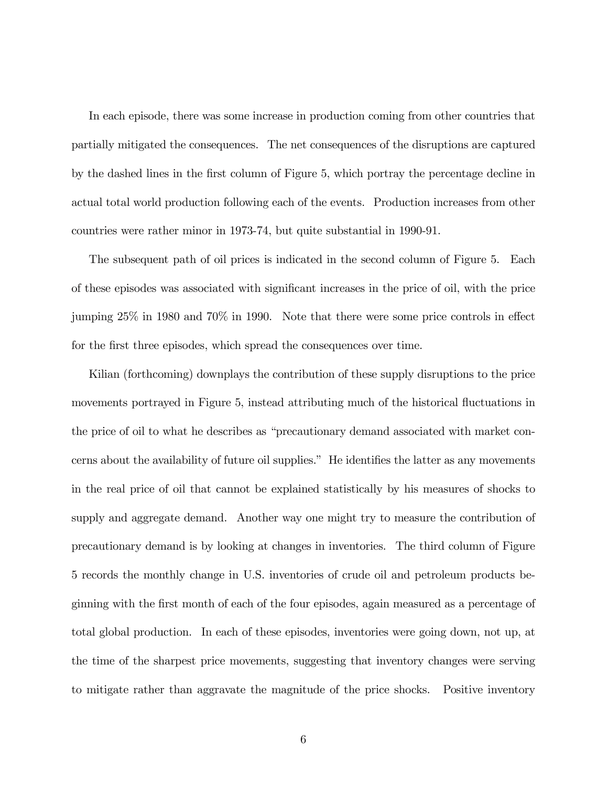In each episode, there was some increase in production coming from other countries that partially mitigated the consequences. The net consequences of the disruptions are captured by the dashed lines in the first column of Figure 5, which portray the percentage decline in actual total world production following each of the events. Production increases from other countries were rather minor in 1973-74, but quite substantial in 1990-91.

The subsequent path of oil prices is indicated in the second column of Figure 5. Each of these episodes was associated with significant increases in the price of oil, with the price jumping 25% in 1980 and 70% in 1990. Note that there were some price controls in effect for the first three episodes, which spread the consequences over time.

Kilian (forthcoming) downplays the contribution of these supply disruptions to the price movements portrayed in Figure 5, instead attributing much of the historical fluctuations in the price of oil to what he describes as "precautionary demand associated with market concerns about the availability of future oil supplies." He identifies the latter as any movements in the real price of oil that cannot be explained statistically by his measures of shocks to supply and aggregate demand. Another way one might try to measure the contribution of precautionary demand is by looking at changes in inventories. The third column of Figure 5 records the monthly change in U.S. inventories of crude oil and petroleum products beginning with the first month of each of the four episodes, again measured as a percentage of total global production. In each of these episodes, inventories were going down, not up, at the time of the sharpest price movements, suggesting that inventory changes were serving to mitigate rather than aggravate the magnitude of the price shocks. Positive inventory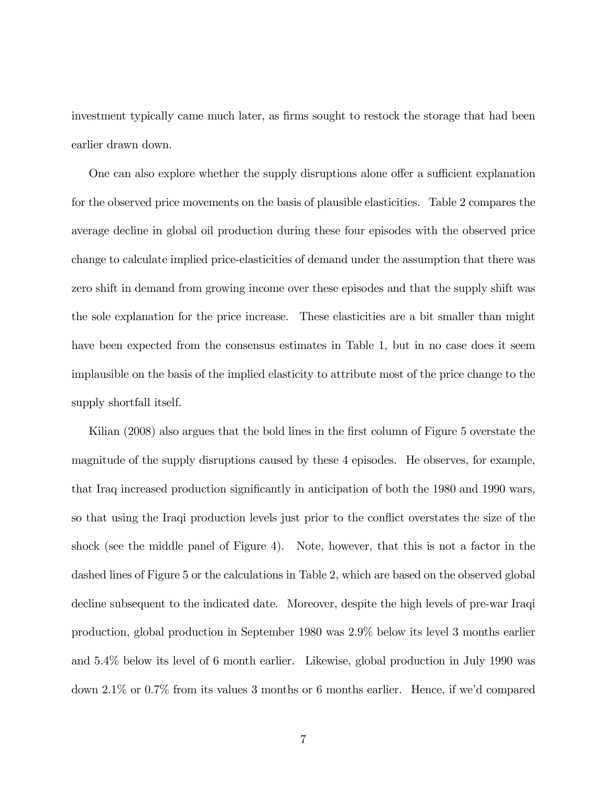investment typically came much later, as firms sought to restock the storage that had been earlier drawn down.

One can also explore whether the supply disruptions alone offer a sufficient explanation for the observed price movements on the basis of plausible elasticities. Table 2 compares the average decline in global oil production during these four episodes with the observed price change to calculate implied price-elasticities of demand under the assumption that there was zero shift in demand from growing income over these episodes and that the supply shift was the sole explanation for the price increase. These elasticities are a bit smaller than might have been expected from the consensus estimates in Table 1, but in no case does it seem implausible on the basis of the implied elasticity to attribute most of the price change to the supply shortfall itself.

Kilian (2008) also argues that the bold lines in the first column of Figure 5 overstate the magnitude of the supply disruptions caused by these 4 episodes. He observes, for example, that Iraq increased production significantly in anticipation of both the 1980 and 1990 wars, so that using the Iraqi production levels just prior to the conflict overstates the size of the shock (see the middle panel of Figure 4). Note, however, that this is not a factor in the dashed lines of Figure 5 or the calculations in Table 2, which are based on the observed global decline subsequent to the indicated date. Moreover, despite the high levels of pre-war Iraqi production, global production in September 1980 was 2.9% below its level 3 months earlier and 5.4% below its level of 6 month earlier. Likewise, global production in July 1990 was down 2.1% or 0.7% from its values 3 months or 6 months earlier. Hence, if we'd compared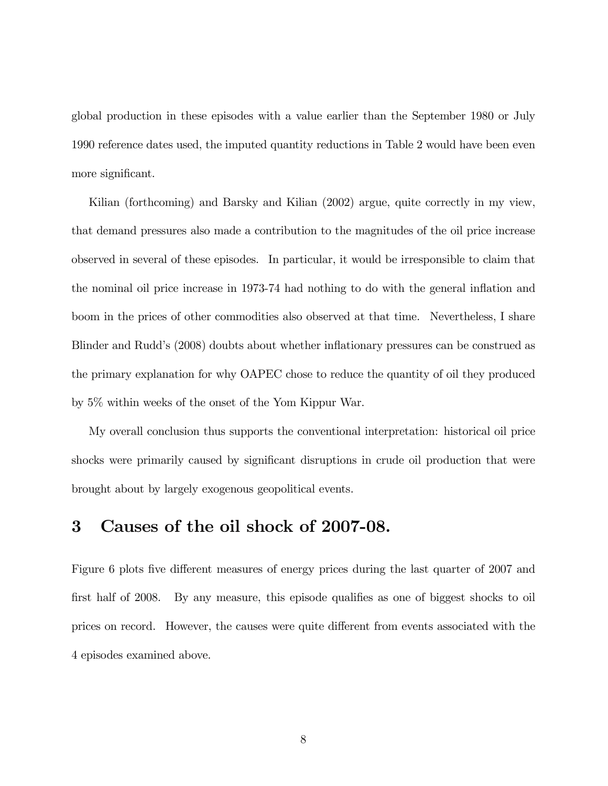global production in these episodes with a value earlier than the September 1980 or July 1990 reference dates used, the imputed quantity reductions in Table 2 would have been even more significant.

Kilian (forthcoming) and Barsky and Kilian (2002) argue, quite correctly in my view, that demand pressures also made a contribution to the magnitudes of the oil price increase observed in several of these episodes. In particular, it would be irresponsible to claim that the nominal oil price increase in 1973-74 had nothing to do with the general inflation and boom in the prices of other commodities also observed at that time. Nevertheless, I share Blinder and Rudd's (2008) doubts about whether inflationary pressures can be construed as the primary explanation for why OAPEC chose to reduce the quantity of oil they produced by 5% within weeks of the onset of the Yom Kippur War.

My overall conclusion thus supports the conventional interpretation: historical oil price shocks were primarily caused by significant disruptions in crude oil production that were brought about by largely exogenous geopolitical events.

### 3 Causes of the oil shock of 2007-08.

Figure 6 plots five different measures of energy prices during the last quarter of 2007 and first half of 2008. By any measure, this episode qualifies as one of biggest shocks to oil prices on record. However, the causes were quite different from events associated with the 4 episodes examined above.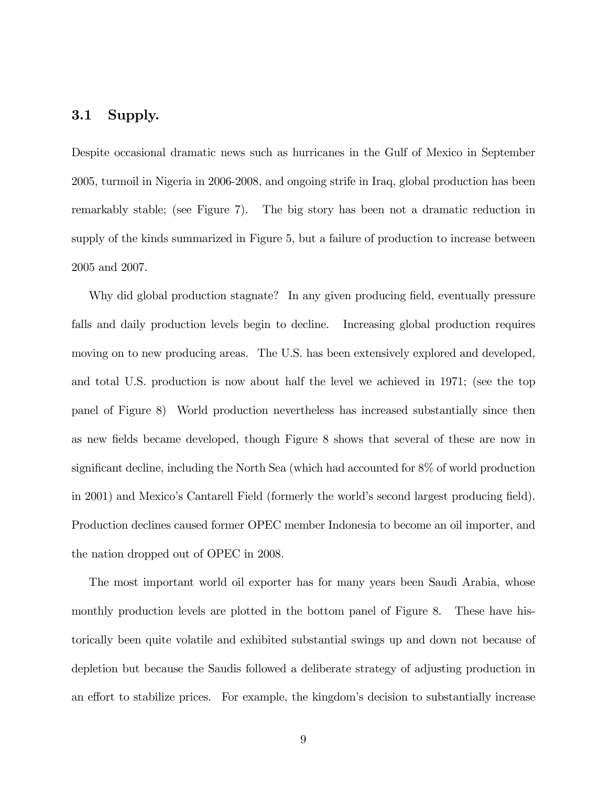### 3.1 Supply.

Despite occasional dramatic news such as hurricanes in the Gulf of Mexico in September 2005, turmoil in Nigeria in 2006-2008, and ongoing strife in Iraq, global production has been remarkably stable; (see Figure 7). The big story has been not a dramatic reduction in supply of the kinds summarized in Figure 5, but a failure of production to increase between 2005 and 2007.

Why did global production stagnate? In any given producing field, eventually pressure falls and daily production levels begin to decline. Increasing global production requires moving on to new producing areas. The U.S. has been extensively explored and developed, and total U.S. production is now about half the level we achieved in 1971; (see the top panel of Figure 8) World production nevertheless has increased substantially since then as new fields became developed, though Figure 8 shows that several of these are now in significant decline, including the North Sea (which had accounted for 8% of world production in 2001) and Mexico's Cantarell Field (formerly the world's second largest producing field). Production declines caused former OPEC member Indonesia to become an oil importer, and the nation dropped out of OPEC in 2008.

The most important world oil exporter has for many years been Saudi Arabia, whose monthly production levels are plotted in the bottom panel of Figure 8. These have historically been quite volatile and exhibited substantial swings up and down not because of depletion but because the Saudis followed a deliberate strategy of adjusting production in an effort to stabilize prices. For example, the kingdom's decision to substantially increase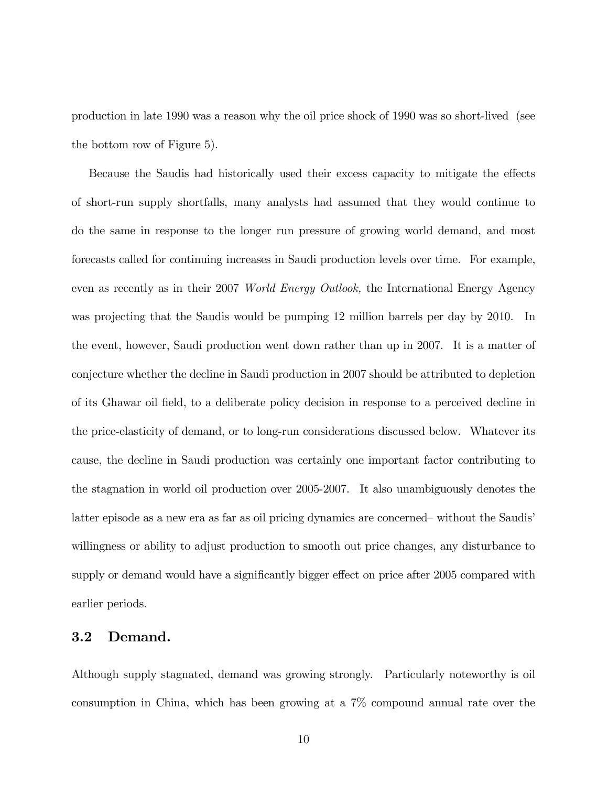production in late 1990 was a reason why the oil price shock of 1990 was so short-lived (see the bottom row of Figure 5).

Because the Saudis had historically used their excess capacity to mitigate the effects of short-run supply shortfalls, many analysts had assumed that they would continue to do the same in response to the longer run pressure of growing world demand, and most forecasts called for continuing increases in Saudi production levels over time. For example, even as recently as in their 2007 World Energy Outlook, the International Energy Agency was projecting that the Saudis would be pumping 12 million barrels per day by 2010. In the event, however, Saudi production went down rather than up in 2007. It is a matter of conjecture whether the decline in Saudi production in 2007 should be attributed to depletion of its Ghawar oil field, to a deliberate policy decision in response to a perceived decline in the price-elasticity of demand, or to long-run considerations discussed below. Whatever its cause, the decline in Saudi production was certainly one important factor contributing to the stagnation in world oil production over 2005-2007. It also unambiguously denotes the latter episode as a new era as far as oil pricing dynamics are concerned— without the Saudis' willingness or ability to adjust production to smooth out price changes, any disturbance to supply or demand would have a significantly bigger effect on price after 2005 compared with earlier periods.

#### 3.2 Demand.

Although supply stagnated, demand was growing strongly. Particularly noteworthy is oil consumption in China, which has been growing at a 7% compound annual rate over the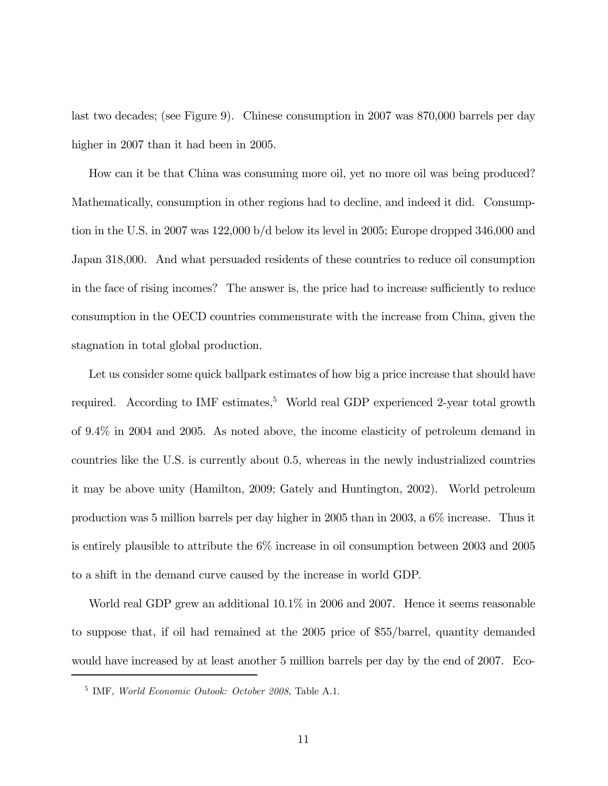last two decades; (see Figure 9). Chinese consumption in 2007 was 870,000 barrels per day higher in 2007 than it had been in 2005.

How can it be that China was consuming more oil, yet no more oil was being produced? Mathematically, consumption in other regions had to decline, and indeed it did. Consumption in the U.S. in 2007 was 122,000 b/d below its level in 2005; Europe dropped 346,000 and Japan 318,000. And what persuaded residents of these countries to reduce oil consumption in the face of rising incomes? The answer is, the price had to increase sufficiently to reduce consumption in the OECD countries commensurate with the increase from China, given the stagnation in total global production.

Let us consider some quick ballpark estimates of how big a price increase that should have required. According to IMF estimates,<sup>5</sup> World real GDP experienced 2-year total growth of 9.4% in 2004 and 2005. As noted above, the income elasticity of petroleum demand in countries like the U.S. is currently about 0.5, whereas in the newly industrialized countries it may be above unity (Hamilton, 2009; Gately and Huntington, 2002). World petroleum production was 5 million barrels per day higher in 2005 than in 2003, a 6% increase. Thus it is entirely plausible to attribute the 6% increase in oil consumption between 2003 and 2005 to a shift in the demand curve caused by the increase in world GDP.

World real GDP grew an additional 10.1% in 2006 and 2007. Hence it seems reasonable to suppose that, if oil had remained at the 2005 price of \$55/barrel, quantity demanded would have increased by at least another 5 million barrels per day by the end of 2007. Eco-

<sup>5</sup> IMF, World Economic Outook: October 2008, Table A.1.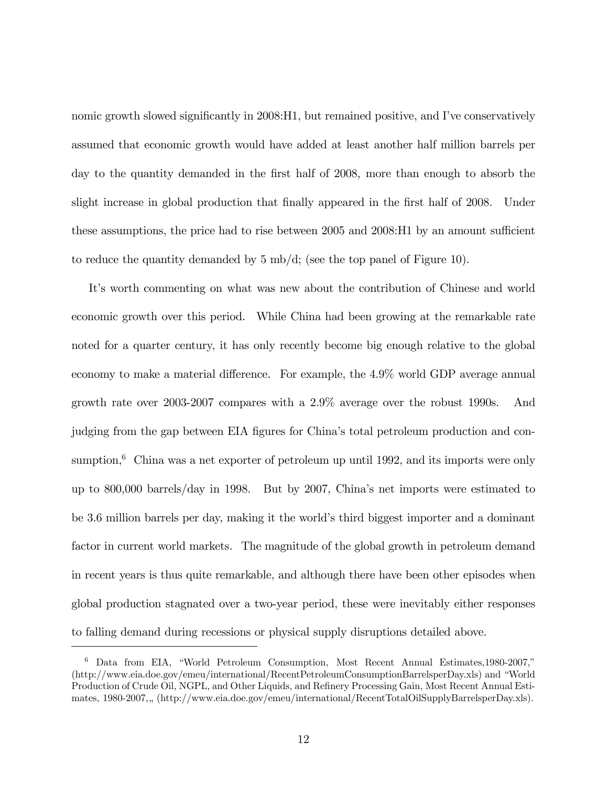nomic growth slowed significantly in 2008:H1, but remained positive, and I've conservatively assumed that economic growth would have added at least another half million barrels per day to the quantity demanded in the first half of 2008, more than enough to absorb the slight increase in global production that finally appeared in the first half of 2008. Under these assumptions, the price had to rise between 2005 and 2008:H1 by an amount sufficient to reduce the quantity demanded by  $5 \text{ mb/d}$ ; (see the top panel of Figure 10).

It's worth commenting on what was new about the contribution of Chinese and world economic growth over this period. While China had been growing at the remarkable rate noted for a quarter century, it has only recently become big enough relative to the global economy to make a material difference. For example, the 4.9% world GDP average annual growth rate over 2003-2007 compares with a 2.9% average over the robust 1990s. And judging from the gap between EIA figures for China's total petroleum production and consumption, $6$  China was a net exporter of petroleum up until 1992, and its imports were only up to 800,000 barrels/day in 1998. But by 2007, China's net imports were estimated to be 3.6 million barrels per day, making it the world's third biggest importer and a dominant factor in current world markets. The magnitude of the global growth in petroleum demand in recent years is thus quite remarkable, and although there have been other episodes when global production stagnated over a two-year period, these were inevitably either responses to falling demand during recessions or physical supply disruptions detailed above.

<sup>6</sup> Data from EIA, "World Petroleum Consumption, Most Recent Annual Estimates,1980-2007," (http://www.eia.doe.gov/emeu/international/RecentPetroleumConsumptionBarrelsperDay.xls) and "World Production of Crude Oil, NGPL, and Other Liquids, and Refinery Processing Gain, Most Recent Annual Estimates, 1980-2007,  $\mu$  (http://www.eia.doe.gov/emeu/international/RecentTotalOilSupplyBarrelsperDay.xls).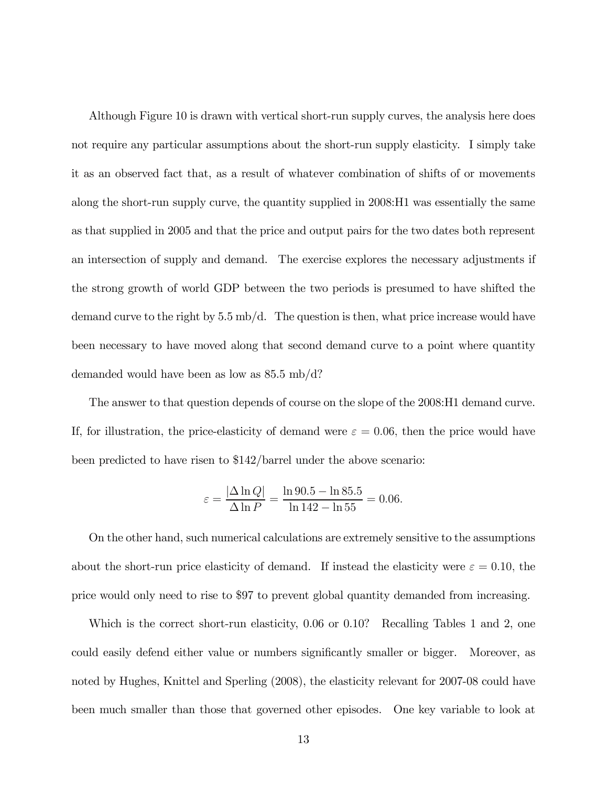Although Figure 10 is drawn with vertical short-run supply curves, the analysis here does not require any particular assumptions about the short-run supply elasticity. I simply take it as an observed fact that, as a result of whatever combination of shifts of or movements along the short-run supply curve, the quantity supplied in 2008:H1 was essentially the same as that supplied in 2005 and that the price and output pairs for the two dates both represent an intersection of supply and demand. The exercise explores the necessary adjustments if the strong growth of world GDP between the two periods is presumed to have shifted the demand curve to the right by 5.5 mb/d. The question is then, what price increase would have been necessary to have moved along that second demand curve to a point where quantity demanded would have been as low as 85.5 mb/d?

The answer to that question depends of course on the slope of the 2008:H1 demand curve. If, for illustration, the price-elasticity of demand were  $\varepsilon = 0.06$ , then the price would have been predicted to have risen to \$142/barrel under the above scenario:

$$
\varepsilon = \frac{|\Delta \ln Q|}{\Delta \ln P} = \frac{\ln 90.5 - \ln 85.5}{\ln 142 - \ln 55} = 0.06.
$$

On the other hand, such numerical calculations are extremely sensitive to the assumptions about the short-run price elasticity of demand. If instead the elasticity were  $\varepsilon = 0.10$ , the price would only need to rise to \$97 to prevent global quantity demanded from increasing.

Which is the correct short-run elasticity, 0.06 or 0.10? Recalling Tables 1 and 2, one could easily defend either value or numbers significantly smaller or bigger. Moreover, as noted by Hughes, Knittel and Sperling (2008), the elasticity relevant for 2007-08 could have been much smaller than those that governed other episodes. One key variable to look at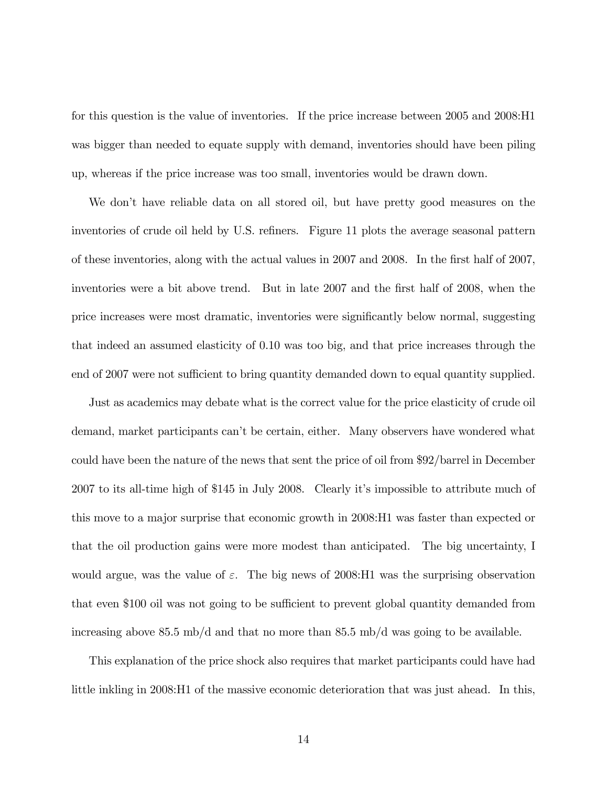for this question is the value of inventories. If the price increase between 2005 and 2008:H1 was bigger than needed to equate supply with demand, inventories should have been piling up, whereas if the price increase was too small, inventories would be drawn down.

We don't have reliable data on all stored oil, but have pretty good measures on the inventories of crude oil held by U.S. refiners. Figure 11 plots the average seasonal pattern of these inventories, along with the actual values in 2007 and 2008. In the first half of 2007, inventories were a bit above trend. But in late 2007 and the first half of 2008, when the price increases were most dramatic, inventories were significantly below normal, suggesting that indeed an assumed elasticity of 0.10 was too big, and that price increases through the end of 2007 were not sufficient to bring quantity demanded down to equal quantity supplied.

Just as academics may debate what is the correct value for the price elasticity of crude oil demand, market participants can't be certain, either. Many observers have wondered what could have been the nature of the news that sent the price of oil from \$92/barrel in December 2007 to its all-time high of \$145 in July 2008. Clearly it's impossible to attribute much of this move to a major surprise that economic growth in 2008:H1 was faster than expected or that the oil production gains were more modest than anticipated. The big uncertainty, I would argue, was the value of  $\varepsilon$ . The big news of 2008:H1 was the surprising observation that even \$100 oil was not going to be sufficient to prevent global quantity demanded from increasing above 85.5 mb/d and that no more than 85.5 mb/d was going to be available.

This explanation of the price shock also requires that market participants could have had little inkling in 2008:H1 of the massive economic deterioration that was just ahead. In this,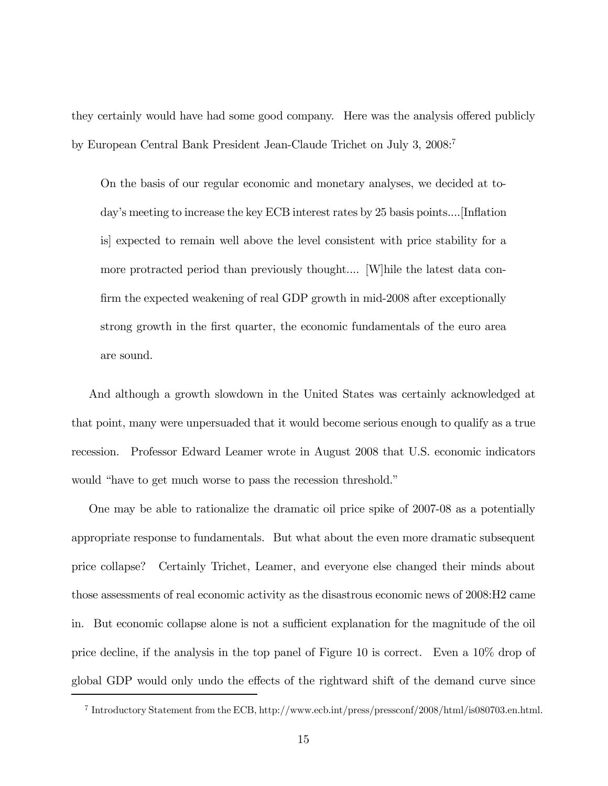they certainly would have had some good company. Here was the analysis offered publicly by European Central Bank President Jean-Claude Trichet on July 3, 2008:7

On the basis of our regular economic and monetary analyses, we decided at today's meeting to increase the key ECB interest rates by 25 basis points....[Inflation is] expected to remain well above the level consistent with price stability for a more protracted period than previously thought.... [W]hile the latest data confirm the expected weakening of real GDP growth in mid-2008 after exceptionally strong growth in the first quarter, the economic fundamentals of the euro area are sound.

And although a growth slowdown in the United States was certainly acknowledged at that point, many were unpersuaded that it would become serious enough to qualify as a true recession. Professor Edward Leamer wrote in August 2008 that U.S. economic indicators would "have to get much worse to pass the recession threshold."

One may be able to rationalize the dramatic oil price spike of 2007-08 as a potentially appropriate response to fundamentals. But what about the even more dramatic subsequent price collapse? Certainly Trichet, Leamer, and everyone else changed their minds about those assessments of real economic activity as the disastrous economic news of 2008:H2 came in. But economic collapse alone is not a sufficient explanation for the magnitude of the oil price decline, if the analysis in the top panel of Figure 10 is correct. Even a 10% drop of global GDP would only undo the effects of the rightward shift of the demand curve since

<sup>7</sup> Introductory Statement from the ECB, http://www.ecb.int/press/pressconf/2008/html/is080703.en.html.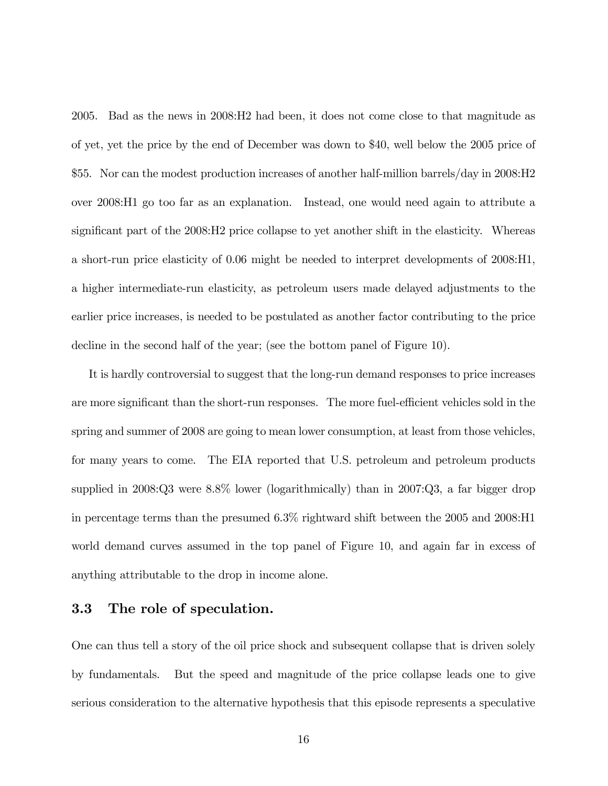2005. Bad as the news in 2008:H2 had been, it does not come close to that magnitude as of yet, yet the price by the end of December was down to \$40, well below the 2005 price of \$55. Nor can the modest production increases of another half-million barrels/day in 2008:H2 over 2008:H1 go too far as an explanation. Instead, one would need again to attribute a significant part of the 2008:H2 price collapse to yet another shift in the elasticity. Whereas a short-run price elasticity of 0.06 might be needed to interpret developments of 2008:H1, a higher intermediate-run elasticity, as petroleum users made delayed adjustments to the earlier price increases, is needed to be postulated as another factor contributing to the price decline in the second half of the year; (see the bottom panel of Figure 10).

It is hardly controversial to suggest that the long-run demand responses to price increases are more significant than the short-run responses. The more fuel-efficient vehicles sold in the spring and summer of 2008 are going to mean lower consumption, at least from those vehicles, for many years to come. The EIA reported that U.S. petroleum and petroleum products supplied in 2008:Q3 were 8.8% lower (logarithmically) than in 2007:Q3, a far bigger drop in percentage terms than the presumed 6.3% rightward shift between the 2005 and 2008:H1 world demand curves assumed in the top panel of Figure 10, and again far in excess of anything attributable to the drop in income alone.

#### 3.3 The role of speculation.

One can thus tell a story of the oil price shock and subsequent collapse that is driven solely by fundamentals. But the speed and magnitude of the price collapse leads one to give serious consideration to the alternative hypothesis that this episode represents a speculative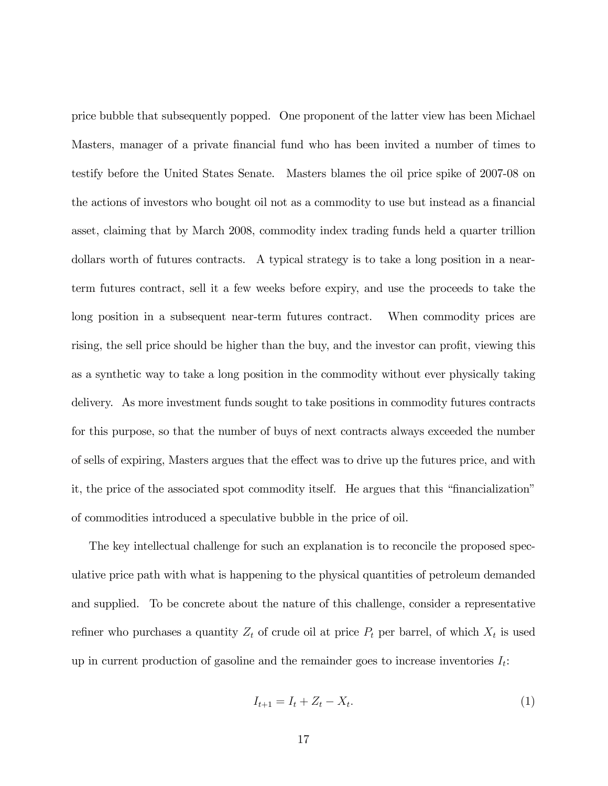price bubble that subsequently popped. One proponent of the latter view has been Michael Masters, manager of a private financial fund who has been invited a number of times to testify before the United States Senate. Masters blames the oil price spike of 2007-08 on the actions of investors who bought oil not as a commodity to use but instead as a financial asset, claiming that by March 2008, commodity index trading funds held a quarter trillion dollars worth of futures contracts. A typical strategy is to take a long position in a nearterm futures contract, sell it a few weeks before expiry, and use the proceeds to take the long position in a subsequent near-term futures contract. When commodity prices are rising, the sell price should be higher than the buy, and the investor can profit, viewing this as a synthetic way to take a long position in the commodity without ever physically taking delivery. As more investment funds sought to take positions in commodity futures contracts for this purpose, so that the number of buys of next contracts always exceeded the number of sells of expiring, Masters argues that the effect was to drive up the futures price, and with it, the price of the associated spot commodity itself. He argues that this "financialization" of commodities introduced a speculative bubble in the price of oil.

The key intellectual challenge for such an explanation is to reconcile the proposed speculative price path with what is happening to the physical quantities of petroleum demanded and supplied. To be concrete about the nature of this challenge, consider a representative refiner who purchases a quantity  $Z_t$  of crude oil at price  $P_t$  per barrel, of which  $X_t$  is used up in current production of gasoline and the remainder goes to increase inventories  $I_t$ :

$$
I_{t+1} = I_t + Z_t - X_t.
$$
 (1)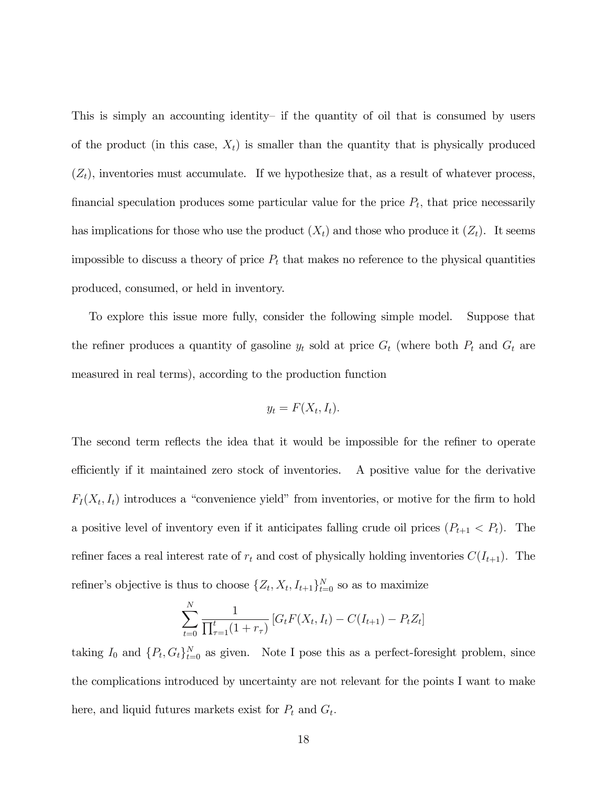This is simply an accounting identity— if the quantity of oil that is consumed by users of the product (in this case,  $X_t$ ) is smaller than the quantity that is physically produced  $(Z_t)$ , inventories must accumulate. If we hypothesize that, as a result of whatever process, financial speculation produces some particular value for the price  $P_t$ , that price necessarily has implications for those who use the product  $(X_t)$  and those who produce it  $(Z_t)$ . It seems impossible to discuss a theory of price  $P_t$  that makes no reference to the physical quantities produced, consumed, or held in inventory.

To explore this issue more fully, consider the following simple model. Suppose that the refiner produces a quantity of gasoline  $y_t$  sold at price  $G_t$  (where both  $P_t$  and  $G_t$  are measured in real terms), according to the production function

$$
y_t = F(X_t, I_t).
$$

The second term reflects the idea that it would be impossible for the refiner to operate efficiently if it maintained zero stock of inventories. A positive value for the derivative  $F_I(X_t, I_t)$  introduces a "convenience yield" from inventories, or motive for the firm to hold a positive level of inventory even if it anticipates falling crude oil prices  $(P_{t+1} < P_t)$ . The refiner faces a real interest rate of  $r_t$  and cost of physically holding inventories  $C(I_{t+1})$ . The refiner's objective is thus to choose  $\{Z_t, X_t, I_{t+1}\}_{t=0}^N$  so as to maximize

$$
\sum_{t=0}^{N} \frac{1}{\prod_{\tau=1}^{t} (1+r_{\tau})} \left[ G_t F(X_t, I_t) - C(I_{t+1}) - P_t Z_t \right]
$$

taking  $I_0$  and  $\{P_t, G_t\}_{t=0}^N$  as given. Note I pose this as a perfect-foresight problem, since the complications introduced by uncertainty are not relevant for the points I want to make here, and liquid futures markets exist for  $P_t$  and  $G_t$ .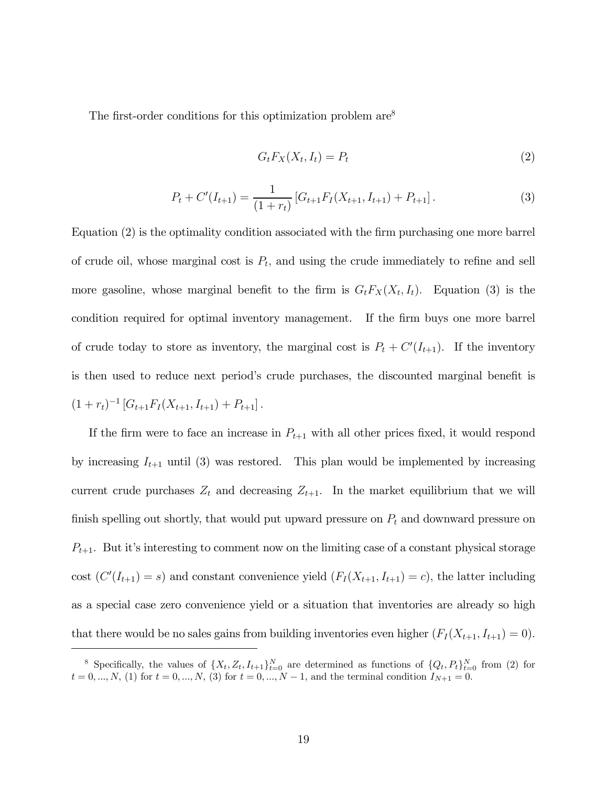The first-order conditions for this optimization problem are<sup>8</sup>

$$
G_t F_X(X_t, I_t) = P_t \tag{2}
$$

$$
P_t + C'(I_{t+1}) = \frac{1}{(1+r_t)} \left[ G_{t+1} F_I(X_{t+1}, I_{t+1}) + P_{t+1} \right]. \tag{3}
$$

Equation (2) is the optimality condition associated with the firm purchasing one more barrel of crude oil, whose marginal cost is  $P_t$ , and using the crude immediately to refine and sell more gasoline, whose marginal benefit to the firm is  $G_tF_X(X_t, I_t)$ . Equation (3) is the condition required for optimal inventory management. If the firm buys one more barrel of crude today to store as inventory, the marginal cost is  $P_t + C'(I_{t+1})$ . If the inventory is then used to reduce next period's crude purchases, the discounted marginal benefit is  $(1 + r_t)^{-1} [G_{t+1}F_I(X_{t+1}, I_{t+1}) + P_{t+1}].$ 

If the firm were to face an increase in  $P_{t+1}$  with all other prices fixed, it would respond by increasing  $I_{t+1}$  until (3) was restored. This plan would be implemented by increasing current crude purchases  $Z_t$  and decreasing  $Z_{t+1}$ . In the market equilibrium that we will finish spelling out shortly, that would put upward pressure on  $P_t$  and downward pressure on  $P_{t+1}$ . But it's interesting to comment now on the limiting case of a constant physical storage cost  $(C'(I_{t+1}) = s)$  and constant convenience yield  $(F_I(X_{t+1}, I_{t+1}) = c)$ , the latter including as a special case zero convenience yield or a situation that inventories are already so high that there would be no sales gains from building inventories even higher  $(F_I(X_{t+1}, I_{t+1}) = 0)$ .

<sup>&</sup>lt;sup>8</sup> Specifically, the values of  $\{X_t, Z_t, I_{t+1}\}_{t=0}^N$  are determined as functions of  $\{Q_t, P_t\}_{t=0}^N$  from (2) for  $t = 0, ..., N$ , (1) for  $t = 0, ..., N$ , (3) for  $t = 0, ..., N - 1$ , and the terminal condition  $I_{N+1} = 0$ .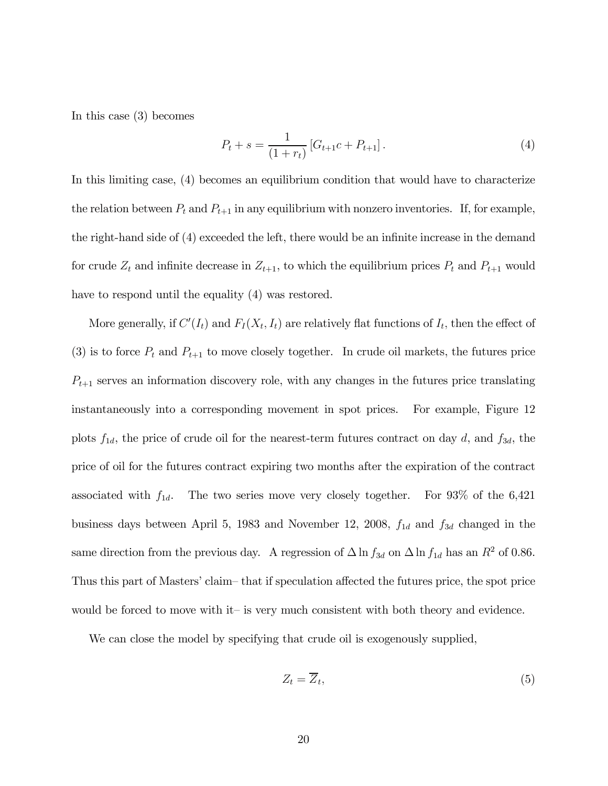In this case (3) becomes

$$
P_t + s = \frac{1}{(1+r_t)} \left[ G_{t+1}c + P_{t+1} \right]. \tag{4}
$$

In this limiting case, (4) becomes an equilibrium condition that would have to characterize the relation between  $P_t$  and  $P_{t+1}$  in any equilibrium with nonzero inventories. If, for example, the right-hand side of (4) exceeded the left, there would be an infinite increase in the demand for crude  $Z_t$  and infinite decrease in  $Z_{t+1}$ , to which the equilibrium prices  $P_t$  and  $P_{t+1}$  would have to respond until the equality  $(4)$  was restored.

More generally, if  $C'(I_t)$  and  $F_I(X_t, I_t)$  are relatively flat functions of  $I_t$ , then the effect of (3) is to force  $P_t$  and  $P_{t+1}$  to move closely together. In crude oil markets, the futures price  $P_{t+1}$  serves an information discovery role, with any changes in the futures price translating instantaneously into a corresponding movement in spot prices. For example, Figure 12 plots  $f_{1d}$ , the price of crude oil for the nearest-term futures contract on day d, and  $f_{3d}$ , the price of oil for the futures contract expiring two months after the expiration of the contract associated with  $f_{1d}$ . The two series move very closely together. For 93% of the 6,421 business days between April 5, 1983 and November 12, 2008,  $f_{1d}$  and  $f_{3d}$  changed in the same direction from the previous day. A regression of  $\Delta \ln f_{3d}$  on  $\Delta \ln f_{1d}$  has an  $R^2$  of 0.86. Thus this part of Masters' claim— that if speculation affected the futures price, the spot price would be forced to move with it— is very much consistent with both theory and evidence.

We can close the model by specifying that crude oil is exogenously supplied,

$$
Z_t = \overline{Z}_t,\tag{5}
$$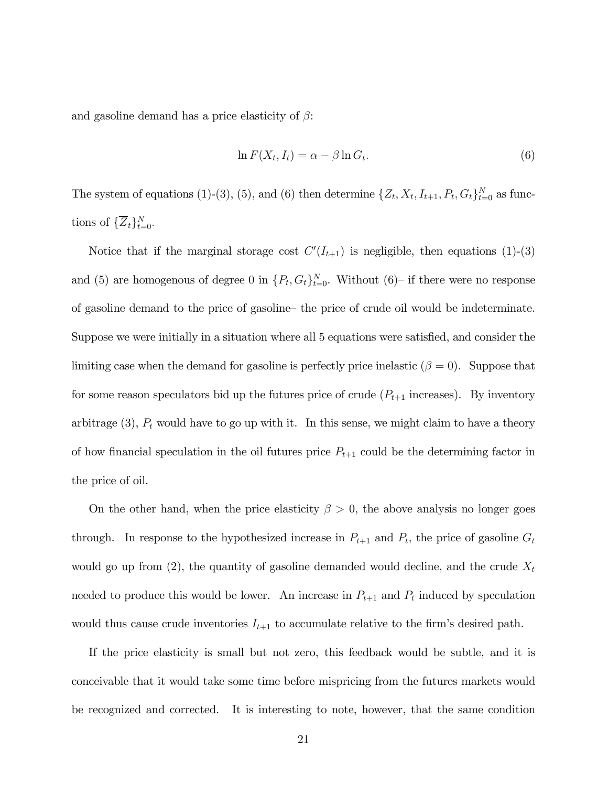and gasoline demand has a price elasticity of  $\beta$ :

$$
\ln F(X_t, I_t) = \alpha - \beta \ln G_t.
$$
\n(6)

The system of equations (1)-(3), (5), and (6) then determine  $\{Z_t, X_t, I_{t+1}, P_t, G_t\}_{t=0}^N$  as functions of  ${\{\overline{Z}_t\}}_{t=0}^N$ .

Notice that if the marginal storage cost  $C'(I_{t+1})$  is negligible, then equations (1)-(3) and (5) are homogenous of degree 0 in  $\{P_t, G_t\}_{t=0}^N$ . Without (6)– if there were no response of gasoline demand to the price of gasoline— the price of crude oil would be indeterminate. Suppose we were initially in a situation where all 5 equations were satisfied, and consider the limiting case when the demand for gasoline is perfectly price inelastic  $(\beta = 0)$ . Suppose that for some reason speculators bid up the futures price of crude  $(P_{t+1}$  increases). By inventory arbitrage  $(3)$ ,  $P_t$  would have to go up with it. In this sense, we might claim to have a theory of how financial speculation in the oil futures price  $P_{t+1}$  could be the determining factor in the price of oil.

On the other hand, when the price elasticity  $\beta > 0$ , the above analysis no longer goes through. In response to the hypothesized increase in  $P_{t+1}$  and  $P_t$ , the price of gasoline  $G_t$ would go up from (2), the quantity of gasoline demanded would decline, and the crude  $X_t$ needed to produce this would be lower. An increase in  $P_{t+1}$  and  $P_t$  induced by speculation would thus cause crude inventories  $I_{t+1}$  to accumulate relative to the firm's desired path.

If the price elasticity is small but not zero, this feedback would be subtle, and it is conceivable that it would take some time before mispricing from the futures markets would be recognized and corrected. It is interesting to note, however, that the same condition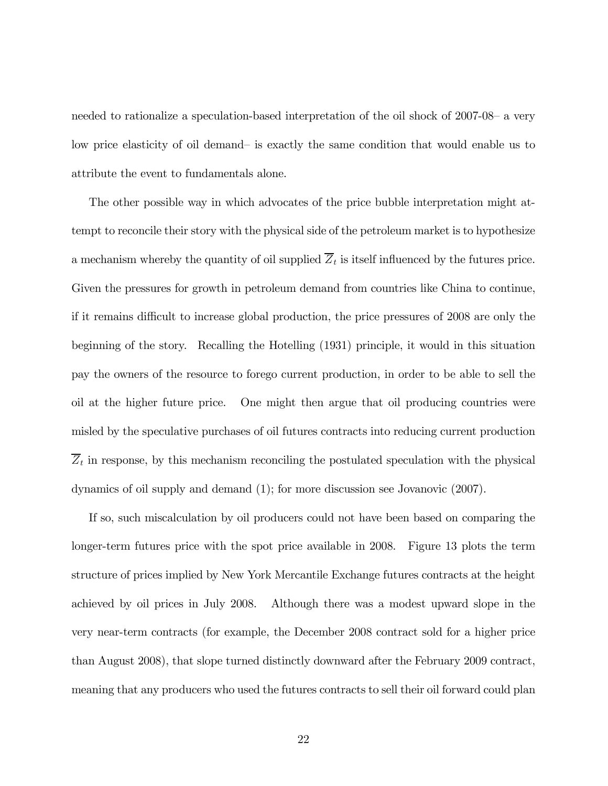needed to rationalize a speculation-based interpretation of the oil shock of 2007-08— a very low price elasticity of oil demand— is exactly the same condition that would enable us to attribute the event to fundamentals alone.

The other possible way in which advocates of the price bubble interpretation might attempt to reconcile their story with the physical side of the petroleum market is to hypothesize a mechanism whereby the quantity of oil supplied  $\overline{Z}_t$  is itself influenced by the futures price. Given the pressures for growth in petroleum demand from countries like China to continue, if it remains difficult to increase global production, the price pressures of 2008 are only the beginning of the story. Recalling the Hotelling (1931) principle, it would in this situation pay the owners of the resource to forego current production, in order to be able to sell the oil at the higher future price. One might then argue that oil producing countries were misled by the speculative purchases of oil futures contracts into reducing current production  $\overline{Z}_t$  in response, by this mechanism reconciling the postulated speculation with the physical dynamics of oil supply and demand (1); for more discussion see Jovanovic (2007).

If so, such miscalculation by oil producers could not have been based on comparing the longer-term futures price with the spot price available in 2008. Figure 13 plots the term structure of prices implied by New York Mercantile Exchange futures contracts at the height achieved by oil prices in July 2008. Although there was a modest upward slope in the very near-term contracts (for example, the December 2008 contract sold for a higher price than August 2008), that slope turned distinctly downward after the February 2009 contract, meaning that any producers who used the futures contracts to sell their oil forward could plan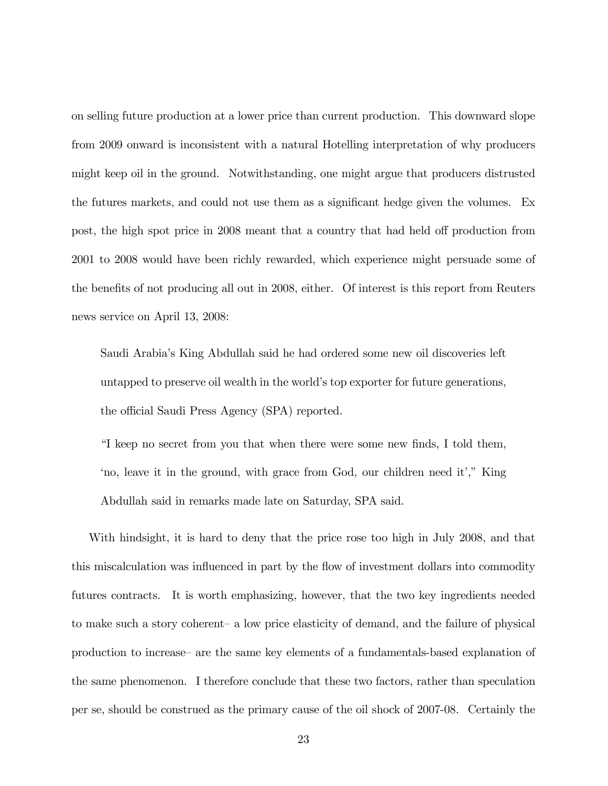on selling future production at a lower price than current production. This downward slope from 2009 onward is inconsistent with a natural Hotelling interpretation of why producers might keep oil in the ground. Notwithstanding, one might argue that producers distrusted the futures markets, and could not use them as a significant hedge given the volumes. Ex post, the high spot price in 2008 meant that a country that had held off production from 2001 to 2008 would have been richly rewarded, which experience might persuade some of the benefits of not producing all out in 2008, either. Of interest is this report from Reuters news service on April 13, 2008:

Saudi Arabia's King Abdullah said he had ordered some new oil discoveries left untapped to preserve oil wealth in the world's top exporter for future generations, the official Saudi Press Agency (SPA) reported.

"I keep no secret from you that when there were some new finds, I told them, 'no, leave it in the ground, with grace from God, our children need it'," King Abdullah said in remarks made late on Saturday, SPA said.

With hindsight, it is hard to deny that the price rose too high in July 2008, and that this miscalculation was influenced in part by the flow of investment dollars into commodity futures contracts. It is worth emphasizing, however, that the two key ingredients needed to make such a story coherent— a low price elasticity of demand, and the failure of physical production to increase— are the same key elements of a fundamentals-based explanation of the same phenomenon. I therefore conclude that these two factors, rather than speculation per se, should be construed as the primary cause of the oil shock of 2007-08. Certainly the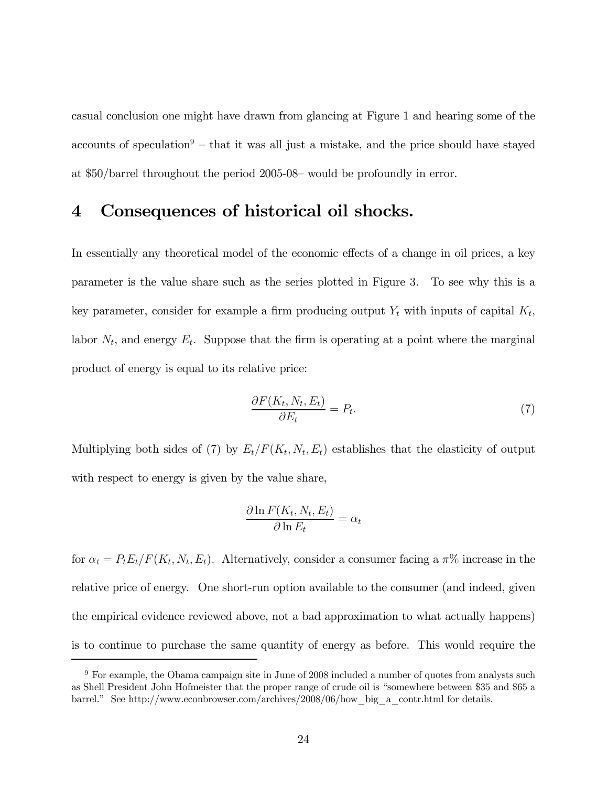casual conclusion one might have drawn from glancing at Figure 1 and hearing some of the accounts of speculation<sup>9</sup> – that it was all just a mistake, and the price should have stayed at \$50/barrel throughout the period 2005-08— would be profoundly in error.

### 4 Consequences of historical oil shocks.

In essentially any theoretical model of the economic effects of a change in oil prices, a key parameter is the value share such as the series plotted in Figure 3. To see why this is a key parameter, consider for example a firm producing output  $Y_t$  with inputs of capital  $K_t$ , labor  $N_t$ , and energy  $E_t$ . Suppose that the firm is operating at a point where the marginal product of energy is equal to its relative price:

$$
\frac{\partial F(K_t, N_t, E_t)}{\partial E_t} = P_t.
$$
\n<sup>(7)</sup>

Multiplying both sides of (7) by  $E_t/F(K_t, N_t, E_t)$  establishes that the elasticity of output with respect to energy is given by the value share,

$$
\frac{\partial \ln F(K_t, N_t, E_t)}{\partial \ln E_t} = \alpha_t
$$

for  $\alpha_t = P_t E_t/F(K_t, N_t, E_t)$ . Alternatively, consider a consumer facing a  $\pi$ % increase in the relative price of energy. One short-run option available to the consumer (and indeed, given the empirical evidence reviewed above, not a bad approximation to what actually happens) is to continue to purchase the same quantity of energy as before. This would require the

 $9\,$  For example, the Obama campaign site in June of 2008 included a number of quotes from analysts such as Shell President John Hofmeister that the proper range of crude oil is "somewhere between \$35 and \$65 a barrel." See http://www.econbrowser.com/archives/2008/06/how\_big\_a\_contr.html for details.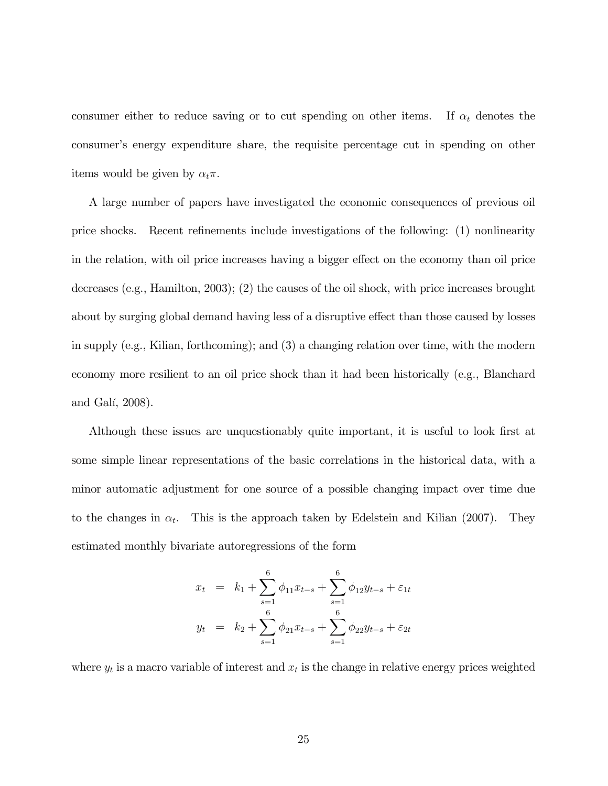consumer either to reduce saving or to cut spending on other items. If  $\alpha_t$  denotes the consumer's energy expenditure share, the requisite percentage cut in spending on other items would be given by  $\alpha_t \pi$ .

A large number of papers have investigated the economic consequences of previous oil price shocks. Recent refinements include investigations of the following: (1) nonlinearity in the relation, with oil price increases having a bigger effect on the economy than oil price decreases (e.g., Hamilton, 2003); (2) the causes of the oil shock, with price increases brought about by surging global demand having less of a disruptive effect than those caused by losses in supply (e.g., Kilian, forthcoming); and (3) a changing relation over time, with the modern economy more resilient to an oil price shock than it had been historically (e.g., Blanchard and Galí, 2008).

Although these issues are unquestionably quite important, it is useful to look first at some simple linear representations of the basic correlations in the historical data, with a minor automatic adjustment for one source of a possible changing impact over time due to the changes in  $\alpha_t$ . This is the approach taken by Edelstein and Kilian (2007). They estimated monthly bivariate autoregressions of the form

$$
x_t = k_1 + \sum_{s=1}^{6} \phi_{11} x_{t-s} + \sum_{s=1}^{6} \phi_{12} y_{t-s} + \varepsilon_{1t}
$$
  

$$
y_t = k_2 + \sum_{s=1}^{6} \phi_{21} x_{t-s} + \sum_{s=1}^{6} \phi_{22} y_{t-s} + \varepsilon_{2t}
$$

where  $y_t$  is a macro variable of interest and  $x_t$  is the change in relative energy prices weighted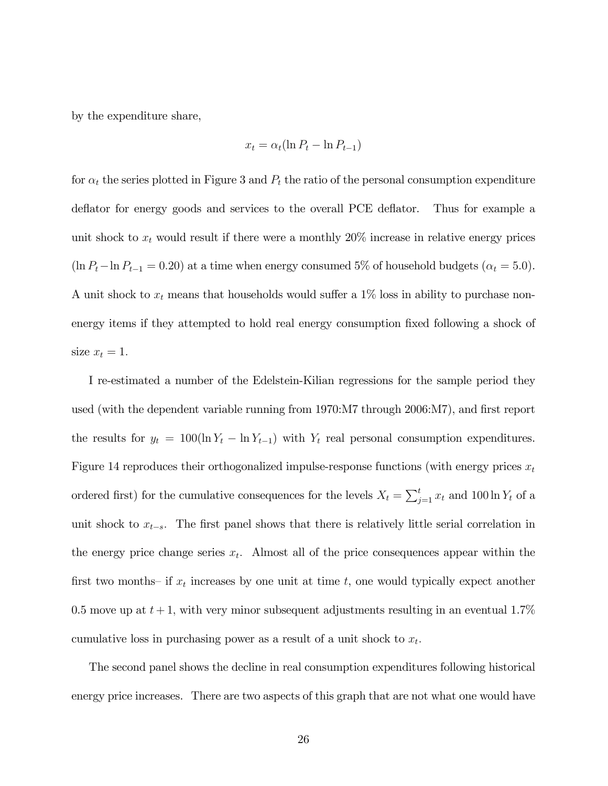by the expenditure share,

$$
x_t = \alpha_t (\ln P_t - \ln P_{t-1})
$$

for  $\alpha_t$  the series plotted in Figure 3 and  $P_t$  the ratio of the personal consumption expenditure deflator for energy goods and services to the overall PCE deflator. Thus for example a unit shock to  $x_t$  would result if there were a monthly 20% increase in relative energy prices (ln  $P_t$ −ln  $P_{t-1}$  = 0.20) at a time when energy consumed 5% of household budgets ( $\alpha_t$  = 5.0). A unit shock to  $x_t$  means that households would suffer a 1% loss in ability to purchase nonenergy items if they attempted to hold real energy consumption fixed following a shock of size  $x_t = 1$ .

I re-estimated a number of the Edelstein-Kilian regressions for the sample period they used (with the dependent variable running from 1970:M7 through 2006:M7), and first report the results for  $y_t = 100(\ln Y_t - \ln Y_{t-1})$  with  $Y_t$  real personal consumption expenditures. Figure 14 reproduces their orthogonalized impulse-response functions (with energy prices  $x_t$ ordered first) for the cumulative consequences for the levels  $X_t = \sum_{j=1}^t x_t$  and  $100 \ln Y_t$  of a unit shock to  $x_{t-s}$ . The first panel shows that there is relatively little serial correlation in the energy price change series  $x_t$ . Almost all of the price consequences appear within the first two months– if  $x_t$  increases by one unit at time t, one would typically expect another 0.5 move up at  $t + 1$ , with very minor subsequent adjustments resulting in an eventual 1.7% cumulative loss in purchasing power as a result of a unit shock to  $x_t$ .

The second panel shows the decline in real consumption expenditures following historical energy price increases. There are two aspects of this graph that are not what one would have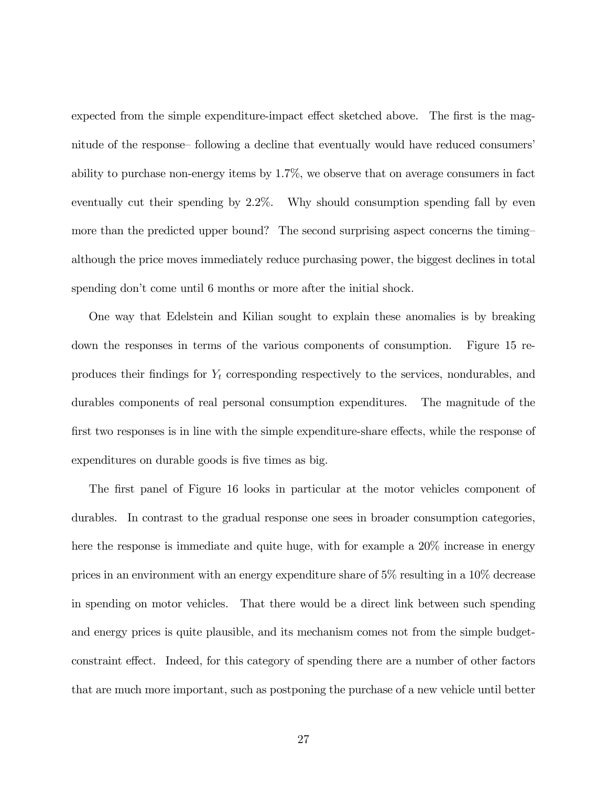expected from the simple expenditure-impact effect sketched above. The first is the magnitude of the response— following a decline that eventually would have reduced consumers' ability to purchase non-energy items by 1.7%, we observe that on average consumers in fact eventually cut their spending by 2.2%. Why should consumption spending fall by even more than the predicted upper bound? The second surprising aspect concerns the timing although the price moves immediately reduce purchasing power, the biggest declines in total spending don't come until 6 months or more after the initial shock.

One way that Edelstein and Kilian sought to explain these anomalies is by breaking down the responses in terms of the various components of consumption. Figure 15 reproduces their findings for  $Y_t$  corresponding respectively to the services, nondurables, and durables components of real personal consumption expenditures. The magnitude of the first two responses is in line with the simple expenditure-share effects, while the response of expenditures on durable goods is five times as big.

The first panel of Figure 16 looks in particular at the motor vehicles component of durables. In contrast to the gradual response one sees in broader consumption categories, here the response is immediate and quite huge, with for example a  $20\%$  increase in energy prices in an environment with an energy expenditure share of 5% resulting in a 10% decrease in spending on motor vehicles. That there would be a direct link between such spending and energy prices is quite plausible, and its mechanism comes not from the simple budgetconstraint effect. Indeed, for this category of spending there are a number of other factors that are much more important, such as postponing the purchase of a new vehicle until better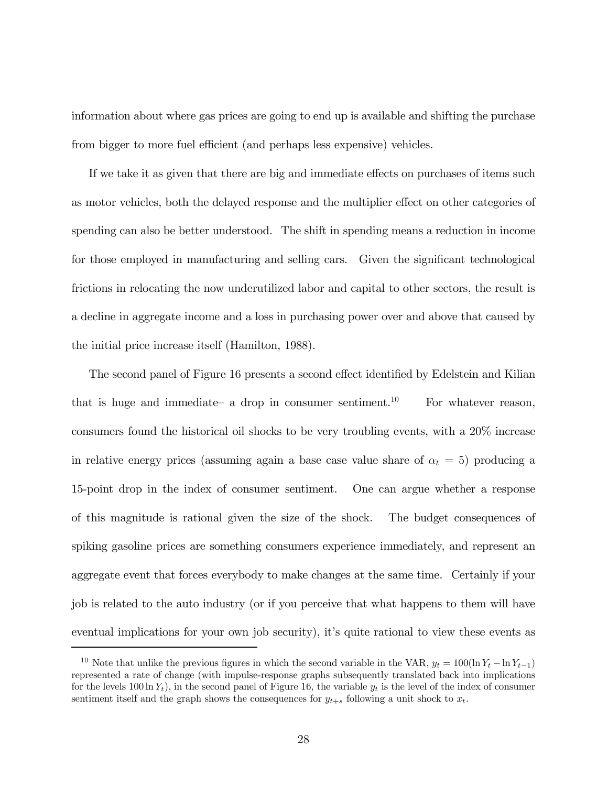information about where gas prices are going to end up is available and shifting the purchase from bigger to more fuel efficient (and perhaps less expensive) vehicles.

If we take it as given that there are big and immediate effects on purchases of items such as motor vehicles, both the delayed response and the multiplier effect on other categories of spending can also be better understood. The shift in spending means a reduction in income for those employed in manufacturing and selling cars. Given the significant technological frictions in relocating the now underutilized labor and capital to other sectors, the result is a decline in aggregate income and a loss in purchasing power over and above that caused by the initial price increase itself (Hamilton, 1988).

The second panel of Figure 16 presents a second effect identified by Edelstein and Kilian that is huge and immediate- a drop in consumer sentiment.<sup>10</sup> For whatever reason, consumers found the historical oil shocks to be very troubling events, with a 20% increase in relative energy prices (assuming again a base case value share of  $\alpha_t = 5$ ) producing a 15-point drop in the index of consumer sentiment. One can argue whether a response of this magnitude is rational given the size of the shock. The budget consequences of spiking gasoline prices are something consumers experience immediately, and represent an aggregate event that forces everybody to make changes at the same time. Certainly if your job is related to the auto industry (or if you perceive that what happens to them will have eventual implications for your own job security), it's quite rational to view these events as

<sup>&</sup>lt;sup>10</sup> Note that unlike the previous figures in which the second variable in the VAR,  $y_t = 100(\ln Y_t - \ln Y_{t-1})$ represented a rate of change (with impulse-response graphs subsequently translated back into implications for the levels  $100 \ln Y_t$ , in the second panel of Figure 16, the variable  $y_t$  is the level of the index of consumer sentiment itself and the graph shows the consequences for  $y_{t+s}$  following a unit shock to  $x_t$ .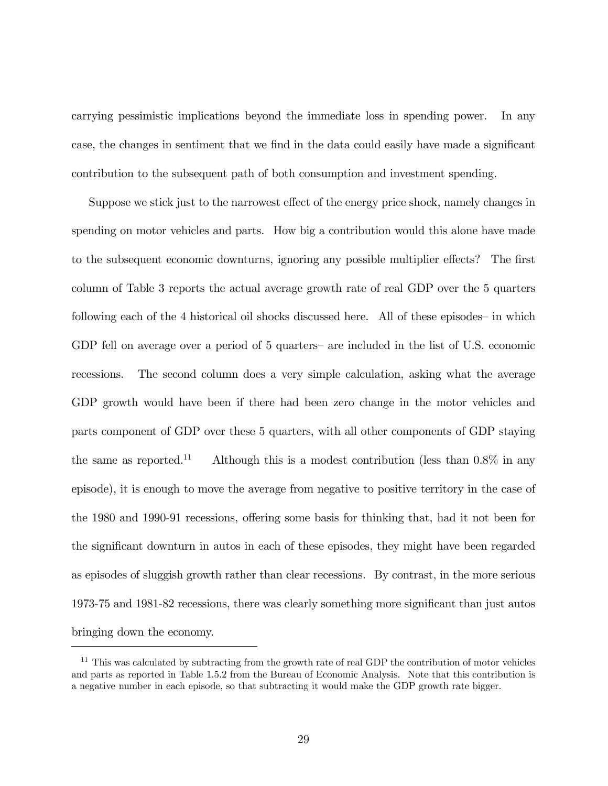carrying pessimistic implications beyond the immediate loss in spending power. In any case, the changes in sentiment that we find in the data could easily have made a significant contribution to the subsequent path of both consumption and investment spending.

Suppose we stick just to the narrowest effect of the energy price shock, namely changes in spending on motor vehicles and parts. How big a contribution would this alone have made to the subsequent economic downturns, ignoring any possible multiplier effects? The first column of Table 3 reports the actual average growth rate of real GDP over the 5 quarters following each of the 4 historical oil shocks discussed here. All of these episodes– in which GDP fell on average over a period of 5 quarters— are included in the list of U.S. economic recessions. The second column does a very simple calculation, asking what the average GDP growth would have been if there had been zero change in the motor vehicles and parts component of GDP over these 5 quarters, with all other components of GDP staying the same as reported.<sup>11</sup> Although this is a modest contribution (less than  $0.8\%$  in any episode), it is enough to move the average from negative to positive territory in the case of the 1980 and 1990-91 recessions, offering some basis for thinking that, had it not been for the significant downturn in autos in each of these episodes, they might have been regarded as episodes of sluggish growth rather than clear recessions. By contrast, in the more serious 1973-75 and 1981-82 recessions, there was clearly something more significant than just autos bringing down the economy.

 $11$  This was calculated by subtracting from the growth rate of real GDP the contribution of motor vehicles and parts as reported in Table 1.5.2 from the Bureau of Economic Analysis. Note that this contribution is a negative number in each episode, so that subtracting it would make the GDP growth rate bigger.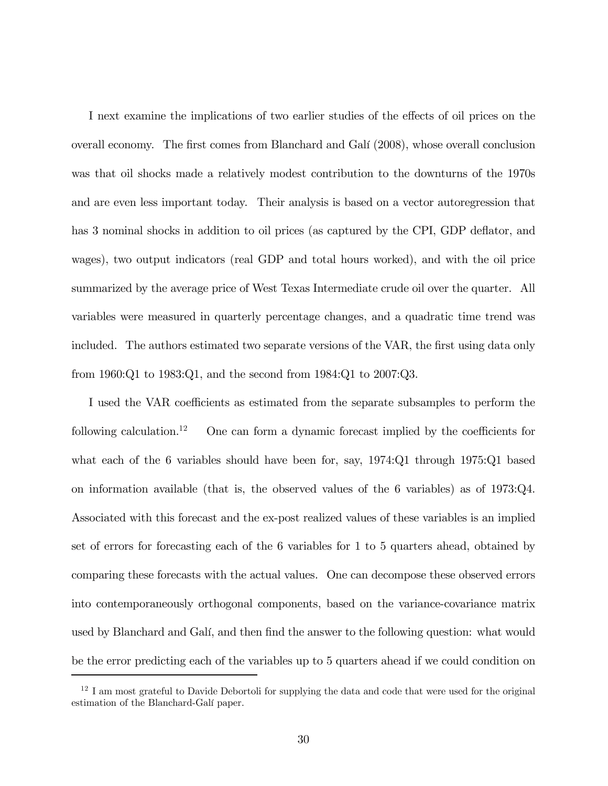I next examine the implications of two earlier studies of the effects of oil prices on the overall economy. The first comes from Blanchard and Galí (2008), whose overall conclusion was that oil shocks made a relatively modest contribution to the downturns of the 1970s and are even less important today. Their analysis is based on a vector autoregression that has 3 nominal shocks in addition to oil prices (as captured by the CPI, GDP deflator, and wages), two output indicators (real GDP and total hours worked), and with the oil price summarized by the average price of West Texas Intermediate crude oil over the quarter. All variables were measured in quarterly percentage changes, and a quadratic time trend was included. The authors estimated two separate versions of the VAR, the first using data only from 1960:Q1 to 1983:Q1, and the second from 1984:Q1 to 2007:Q3.

I used the VAR coefficients as estimated from the separate subsamples to perform the following calculation.<sup>12</sup> One can form a dynamic forecast implied by the coefficients for what each of the 6 variables should have been for, say, 1974:Q1 through 1975:Q1 based on information available (that is, the observed values of the 6 variables) as of 1973:Q4. Associated with this forecast and the ex-post realized values of these variables is an implied set of errors for forecasting each of the 6 variables for 1 to 5 quarters ahead, obtained by comparing these forecasts with the actual values. One can decompose these observed errors into contemporaneously orthogonal components, based on the variance-covariance matrix used by Blanchard and Galí, and then find the answer to the following question: what would be the error predicting each of the variables up to 5 quarters ahead if we could condition on

 $12$  I am most grateful to Davide Debortoli for supplying the data and code that were used for the original estimation of the Blanchard-Galí paper.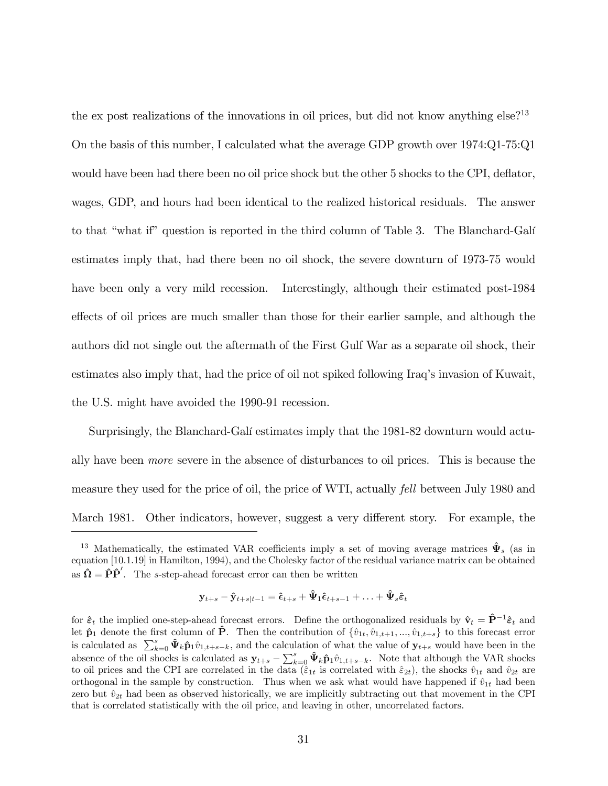the ex post realizations of the innovations in oil prices, but did not know anything  $else?$ <sup>13</sup> On the basis of this number, I calculated what the average GDP growth over 1974:Q1-75:Q1 would have been had there been no oil price shock but the other 5 shocks to the CPI, deflator, wages, GDP, and hours had been identical to the realized historical residuals. The answer to that "what if" question is reported in the third column of Table 3. The Blanchard-Galí estimates imply that, had there been no oil shock, the severe downturn of 1973-75 would have been only a very mild recession. Interestingly, although their estimated post-1984 effects of oil prices are much smaller than those for their earlier sample, and although the authors did not single out the aftermath of the First Gulf War as a separate oil shock, their estimates also imply that, had the price of oil not spiked following Iraq's invasion of Kuwait, the U.S. might have avoided the 1990-91 recession.

Surprisingly, the Blanchard-Galí estimates imply that the 1981-82 downturn would actually have been more severe in the absence of disturbances to oil prices. This is because the measure they used for the price of oil, the price of WTI, actually fell between July 1980 and March 1981. Other indicators, however, suggest a very different story. For example, the

$$
\mathbf{y}_{t+s} - \hat{\mathbf{y}}_{t+s|t-1} = \hat{\boldsymbol{\epsilon}}_{t+s} + \hat{\boldsymbol{\Psi}}_1\hat{\boldsymbol{\epsilon}}_{t+s-1} + \ldots + \hat{\boldsymbol{\Psi}}_s\hat{\boldsymbol{\epsilon}}_t
$$

<sup>&</sup>lt;sup>13</sup> Mathematically, the estimated VAR coefficients imply a set of moving average matrices  $\hat{\Psi}_s$  (as in equation [10.1.19] in Hamilton, 1994), and the Cholesky factor of the residual variance matrix can be obtained as  $\hat{\Omega} = \hat{P}\hat{P}'$ . The s-step-ahead forecast error can then be written

for  $\hat{\boldsymbol{\varepsilon}}_t$  the implied one-step-ahead forecast errors. Define the orthogonalized residuals by  $\hat{\mathbf{v}}_t = \hat{\mathbf{P}}^{-1}\hat{\boldsymbol{\varepsilon}}_t$  and let  $\hat{\mathbf{p}}_1$  denote the first column of  $\hat{\mathbf{P}}$ . Then the contribution of  $\{\hat{v}_{1t}, \hat{v}_{1,t+1}, ..., \hat{v}_{1,t+s}\}$  to this forecast error is calculated as  $\sum_{k=0}^{s} \hat{\Psi}_k \hat{\mathbf{p}}_1 \hat{v}_{1,t+s-k}$ , and the calculation of what the value of  $\mathbf{y}_{t+s}$  would have been in the absence of the oil shocks is calculated as  $\mathbf{y}_{t+s} - \sum_{k=0}^{s} \hat{\Psi}_k \hat{\mathbf{p}}_1 \hat{v}_{1,t+s-k}$ . Note that although the VAR shocks to oil prices and the CPI are correlated in the data ( $\hat{\epsilon}_{1t}$  is correlated with  $\hat{\epsilon}_{2t}$ ), the shocks  $\hat{v}_{1t}$  and  $\hat{v}_{2t}$  are orthogonal in the sample by construction. Thus when we ask what would have happened if  $\hat{v}_{1t}$  had been zero but  $\hat{v}_{2t}$  had been as observed historically, we are implicitly subtracting out that movement in the CPI that is correlated statistically with the oil price, and leaving in other, uncorrelated factors.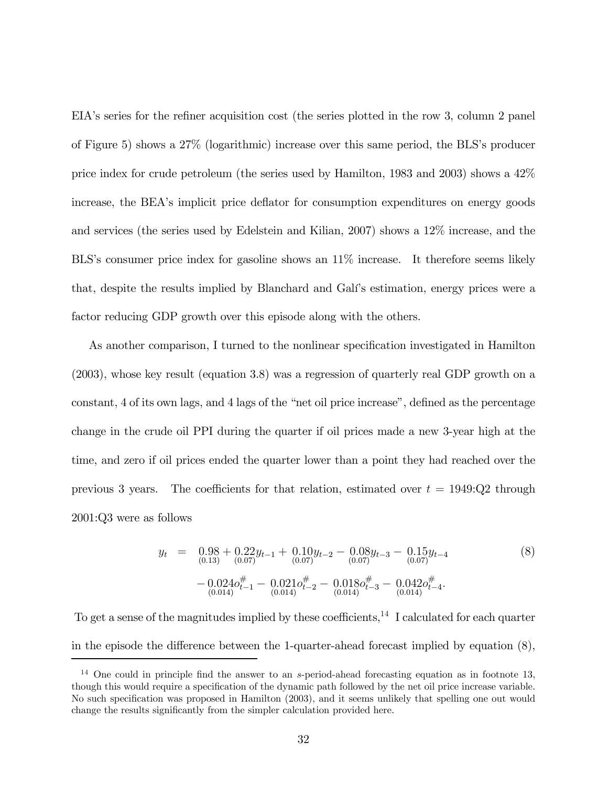EIA's series for the refiner acquisition cost (the series plotted in the row 3, column 2 panel of Figure 5) shows a 27% (logarithmic) increase over this same period, the BLS's producer price index for crude petroleum (the series used by Hamilton, 1983 and 2003) shows a 42% increase, the BEA's implicit price deflator for consumption expenditures on energy goods and services (the series used by Edelstein and Kilian, 2007) shows a 12% increase, and the BLS's consumer price index for gasoline shows an 11% increase. It therefore seems likely that, despite the results implied by Blanchard and Galí's estimation, energy prices were a factor reducing GDP growth over this episode along with the others.

As another comparison, I turned to the nonlinear specification investigated in Hamilton (2003), whose key result (equation 3.8) was a regression of quarterly real GDP growth on a constant, 4 of its own lags, and 4 lags of the "net oil price increase", defined as the percentage change in the crude oil PPI during the quarter if oil prices made a new 3-year high at the time, and zero if oil prices ended the quarter lower than a point they had reached over the previous 3 years. The coefficients for that relation, estimated over  $t = 1949:Q2$  through 2001:Q3 were as follows

$$
y_t = \underset{(0.13)}{0.98} + \underset{(0.07)}{0.22}y_{t-1} + \underset{(0.07)}{0.10}y_{t-2} - \underset{(0.07)}{0.08}y_{t-3} - \underset{(0.07)}{0.15}y_{t-4}
$$
\n
$$
- \underset{(0.014)}{0.024} \underset{t-1}{\overset{#}{\pi}} - \underset{(0.014)}{0.021} \underset{(0.014)}{\overset{#}{\pi}} - \underset{(0.014)}{0.018} \underset{(0.014)}{\overset{#}{\pi}} - \underset{(0.014)}{0.042} \underset{(0.014)}{\overset{#}{\pi}}.
$$
\n
$$
(8)
$$

To get a sense of the magnitudes implied by these coefficients,<sup>14</sup> I calculated for each quarter in the episode the difference between the 1-quarter-ahead forecast implied by equation (8),

 $14$  One could in principle find the answer to an s-period-ahead forecasting equation as in footnote 13, though this would require a specification of the dynamic path followed by the net oil price increase variable. No such specification was proposed in Hamilton (2003), and it seems unlikely that spelling one out would change the results significantly from the simpler calculation provided here.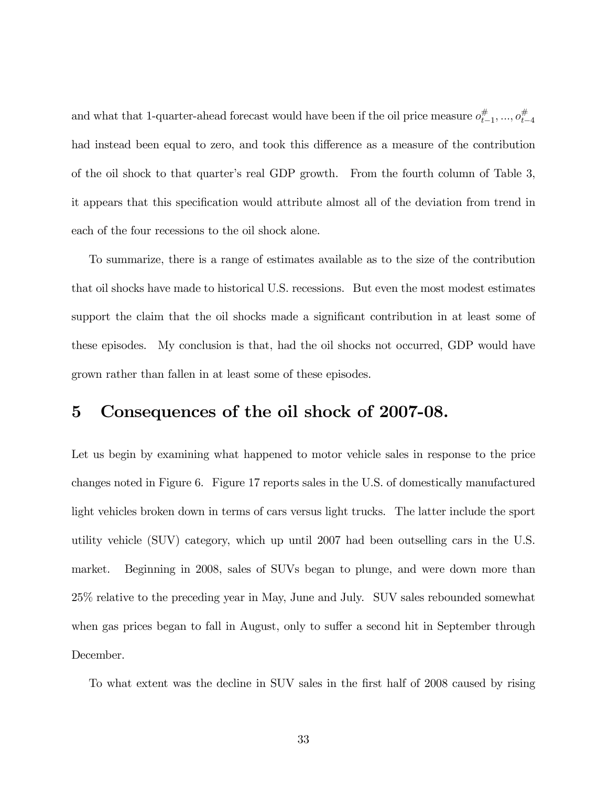and what that 1-quarter-ahead forecast would have been if the oil price measure  $o_{t-1}^{\#},...,o_{t-4}^{\#}$ had instead been equal to zero, and took this difference as a measure of the contribution of the oil shock to that quarter's real GDP growth. From the fourth column of Table 3, it appears that this specification would attribute almost all of the deviation from trend in each of the four recessions to the oil shock alone.

To summarize, there is a range of estimates available as to the size of the contribution that oil shocks have made to historical U.S. recessions. But even the most modest estimates support the claim that the oil shocks made a significant contribution in at least some of these episodes. My conclusion is that, had the oil shocks not occurred, GDP would have grown rather than fallen in at least some of these episodes.

### 5 Consequences of the oil shock of 2007-08.

Let us begin by examining what happened to motor vehicle sales in response to the price changes noted in Figure 6. Figure 17 reports sales in the U.S. of domestically manufactured light vehicles broken down in terms of cars versus light trucks. The latter include the sport utility vehicle (SUV) category, which up until 2007 had been outselling cars in the U.S. market. Beginning in 2008, sales of SUVs began to plunge, and were down more than 25% relative to the preceding year in May, June and July. SUV sales rebounded somewhat when gas prices began to fall in August, only to suffer a second hit in September through December.

To what extent was the decline in SUV sales in the first half of 2008 caused by rising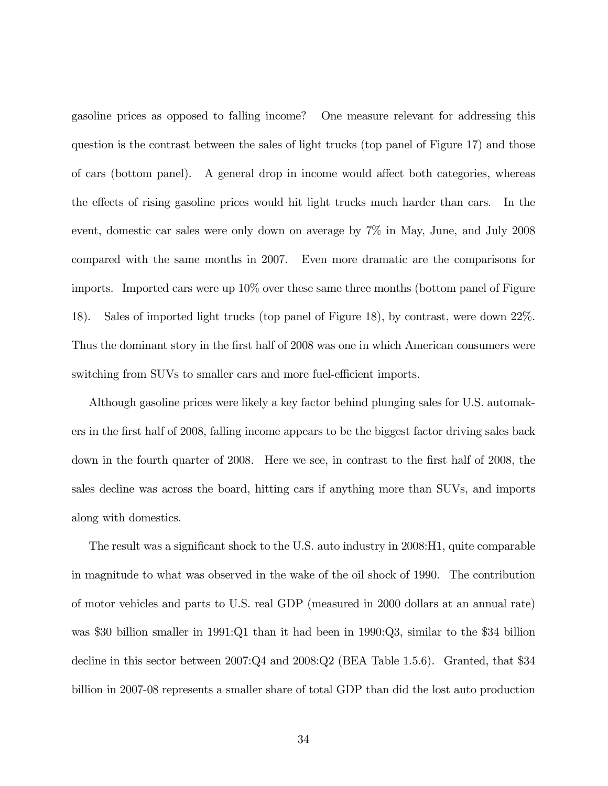gasoline prices as opposed to falling income? One measure relevant for addressing this question is the contrast between the sales of light trucks (top panel of Figure 17) and those of cars (bottom panel). A general drop in income would affect both categories, whereas the effects of rising gasoline prices would hit light trucks much harder than cars. In the event, domestic car sales were only down on average by 7% in May, June, and July 2008 compared with the same months in 2007. Even more dramatic are the comparisons for imports. Imported cars were up 10% over these same three months (bottom panel of Figure 18). Sales of imported light trucks (top panel of Figure 18), by contrast, were down 22%. Thus the dominant story in the first half of 2008 was one in which American consumers were switching from SUVs to smaller cars and more fuel-efficient imports.

Although gasoline prices were likely a key factor behind plunging sales for U.S. automakers in the first half of 2008, falling income appears to be the biggest factor driving sales back down in the fourth quarter of 2008. Here we see, in contrast to the first half of 2008, the sales decline was across the board, hitting cars if anything more than SUVs, and imports along with domestics.

The result was a significant shock to the U.S. auto industry in 2008:H1, quite comparable in magnitude to what was observed in the wake of the oil shock of 1990. The contribution of motor vehicles and parts to U.S. real GDP (measured in 2000 dollars at an annual rate) was \$30 billion smaller in 1991:Q1 than it had been in 1990:Q3, similar to the \$34 billion decline in this sector between 2007:Q4 and 2008:Q2 (BEA Table 1.5.6). Granted, that \$34 billion in 2007-08 represents a smaller share of total GDP than did the lost auto production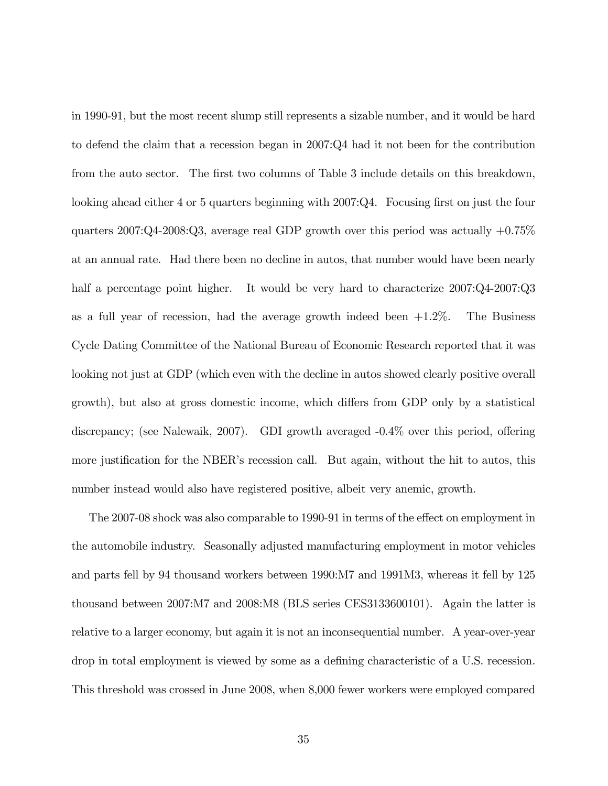in 1990-91, but the most recent slump still represents a sizable number, and it would be hard to defend the claim that a recession began in 2007:Q4 had it not been for the contribution from the auto sector. The first two columns of Table 3 include details on this breakdown, looking ahead either 4 or 5 quarters beginning with 2007:Q4. Focusing first on just the four quarters  $2007:Q4-2008:Q3$ , average real GDP growth over this period was actually  $+0.75\%$ at an annual rate. Had there been no decline in autos, that number would have been nearly half a percentage point higher. It would be very hard to characterize 2007:Q4-2007:Q3 as a full year of recession, had the average growth indeed been  $+1.2\%$ . The Business Cycle Dating Committee of the National Bureau of Economic Research reported that it was looking not just at GDP (which even with the decline in autos showed clearly positive overall growth), but also at gross domestic income, which differs from GDP only by a statistical discrepancy; (see Nalewaik, 2007). GDI growth averaged -0.4% over this period, offering more justification for the NBER's recession call. But again, without the hit to autos, this number instead would also have registered positive, albeit very anemic, growth.

The 2007-08 shock was also comparable to 1990-91 in terms of the effect on employment in the automobile industry. Seasonally adjusted manufacturing employment in motor vehicles and parts fell by 94 thousand workers between 1990:M7 and 1991M3, whereas it fell by 125 thousand between 2007:M7 and 2008:M8 (BLS series CES3133600101). Again the latter is relative to a larger economy, but again it is not an inconsequential number. A year-over-year drop in total employment is viewed by some as a defining characteristic of a U.S. recession. This threshold was crossed in June 2008, when 8,000 fewer workers were employed compared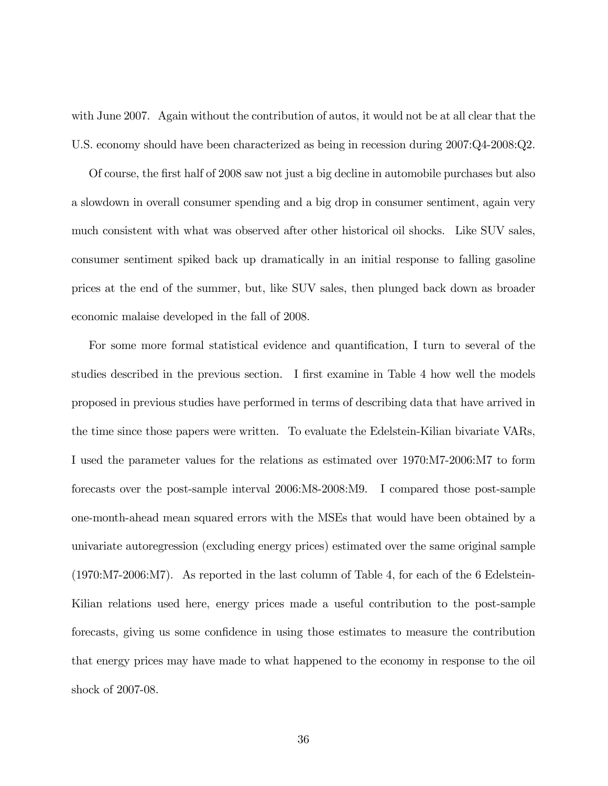with June 2007. Again without the contribution of autos, it would not be at all clear that the U.S. economy should have been characterized as being in recession during 2007:Q4-2008:Q2.

Of course, the first half of 2008 saw not just a big decline in automobile purchases but also a slowdown in overall consumer spending and a big drop in consumer sentiment, again very much consistent with what was observed after other historical oil shocks. Like SUV sales, consumer sentiment spiked back up dramatically in an initial response to falling gasoline prices at the end of the summer, but, like SUV sales, then plunged back down as broader economic malaise developed in the fall of 2008.

For some more formal statistical evidence and quantification, I turn to several of the studies described in the previous section. I first examine in Table 4 how well the models proposed in previous studies have performed in terms of describing data that have arrived in the time since those papers were written. To evaluate the Edelstein-Kilian bivariate VARs, I used the parameter values for the relations as estimated over 1970:M7-2006:M7 to form forecasts over the post-sample interval 2006:M8-2008:M9. I compared those post-sample one-month-ahead mean squared errors with the MSEs that would have been obtained by a univariate autoregression (excluding energy prices) estimated over the same original sample (1970:M7-2006:M7). As reported in the last column of Table 4, for each of the 6 Edelstein-Kilian relations used here, energy prices made a useful contribution to the post-sample forecasts, giving us some confidence in using those estimates to measure the contribution that energy prices may have made to what happened to the economy in response to the oil shock of 2007-08.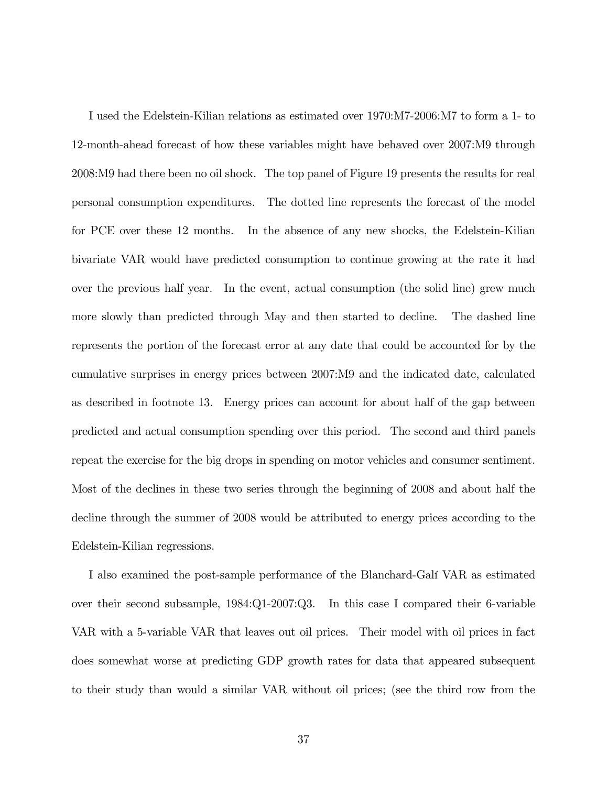I used the Edelstein-Kilian relations as estimated over 1970:M7-2006:M7 to form a 1- to 12-month-ahead forecast of how these variables might have behaved over 2007:M9 through 2008:M9 had there been no oil shock. The top panel of Figure 19 presents the results for real personal consumption expenditures. The dotted line represents the forecast of the model for PCE over these 12 months. In the absence of any new shocks, the Edelstein-Kilian bivariate VAR would have predicted consumption to continue growing at the rate it had over the previous half year. In the event, actual consumption (the solid line) grew much more slowly than predicted through May and then started to decline. The dashed line represents the portion of the forecast error at any date that could be accounted for by the cumulative surprises in energy prices between 2007:M9 and the indicated date, calculated as described in footnote 13. Energy prices can account for about half of the gap between predicted and actual consumption spending over this period. The second and third panels repeat the exercise for the big drops in spending on motor vehicles and consumer sentiment. Most of the declines in these two series through the beginning of 2008 and about half the decline through the summer of 2008 would be attributed to energy prices according to the Edelstein-Kilian regressions.

I also examined the post-sample performance of the Blanchard-Galí VAR as estimated over their second subsample, 1984:Q1-2007:Q3. In this case I compared their 6-variable VAR with a 5-variable VAR that leaves out oil prices. Their model with oil prices in fact does somewhat worse at predicting GDP growth rates for data that appeared subsequent to their study than would a similar VAR without oil prices; (see the third row from the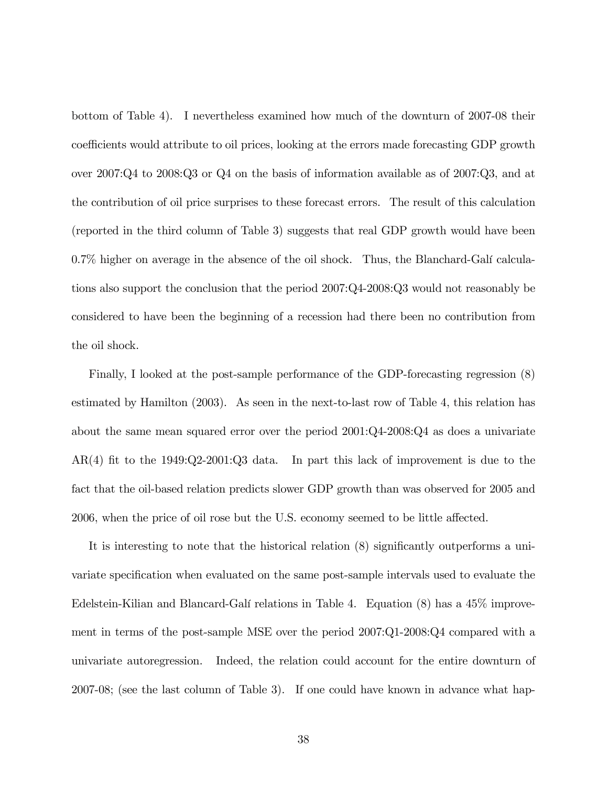bottom of Table 4). I nevertheless examined how much of the downturn of 2007-08 their coefficients would attribute to oil prices, looking at the errors made forecasting GDP growth over 2007:Q4 to 2008:Q3 or Q4 on the basis of information available as of 2007:Q3, and at the contribution of oil price surprises to these forecast errors. The result of this calculation (reported in the third column of Table 3) suggests that real GDP growth would have been 0.7% higher on average in the absence of the oil shock. Thus, the Blanchard-Galí calculations also support the conclusion that the period 2007:Q4-2008:Q3 would not reasonably be considered to have been the beginning of a recession had there been no contribution from the oil shock.

Finally, I looked at the post-sample performance of the GDP-forecasting regression (8) estimated by Hamilton (2003). As seen in the next-to-last row of Table 4, this relation has about the same mean squared error over the period 2001:Q4-2008:Q4 as does a univariate AR(4) fit to the 1949:Q2-2001:Q3 data. In part this lack of improvement is due to the fact that the oil-based relation predicts slower GDP growth than was observed for 2005 and 2006, when the price of oil rose but the U.S. economy seemed to be little affected.

It is interesting to note that the historical relation (8) significantly outperforms a univariate specification when evaluated on the same post-sample intervals used to evaluate the Edelstein-Kilian and Blancard-Galí relations in Table 4. Equation (8) has a 45% improvement in terms of the post-sample MSE over the period 2007:Q1-2008:Q4 compared with a univariate autoregression. Indeed, the relation could account for the entire downturn of 2007-08; (see the last column of Table 3). If one could have known in advance what hap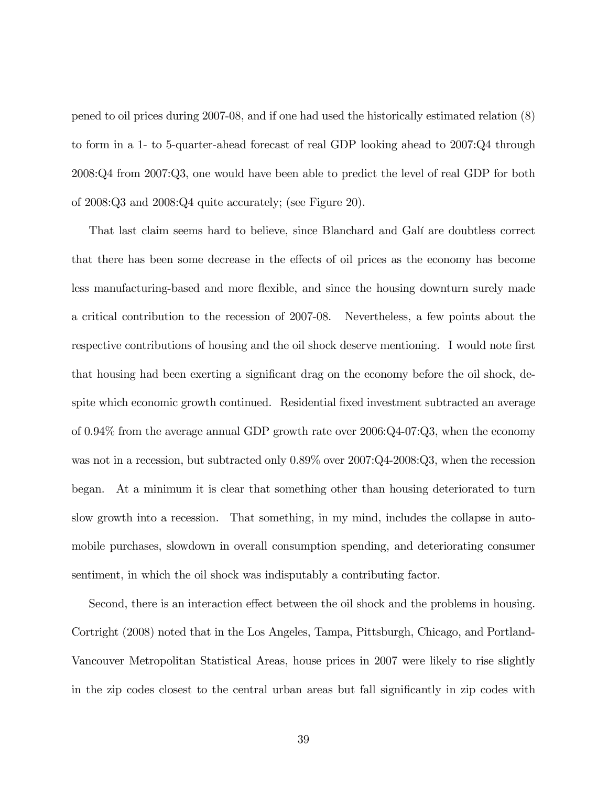pened to oil prices during 2007-08, and if one had used the historically estimated relation (8) to form in a 1- to 5-quarter-ahead forecast of real GDP looking ahead to 2007:Q4 through 2008:Q4 from 2007:Q3, one would have been able to predict the level of real GDP for both of 2008:Q3 and 2008:Q4 quite accurately; (see Figure 20).

That last claim seems hard to believe, since Blanchard and Galí are doubtless correct that there has been some decrease in the effects of oil prices as the economy has become less manufacturing-based and more flexible, and since the housing downturn surely made a critical contribution to the recession of 2007-08. Nevertheless, a few points about the respective contributions of housing and the oil shock deserve mentioning. I would note first that housing had been exerting a significant drag on the economy before the oil shock, despite which economic growth continued. Residential fixed investment subtracted an average of 0.94% from the average annual GDP growth rate over 2006:Q4-07:Q3, when the economy was not in a recession, but subtracted only 0.89% over 2007:Q4-2008:Q3, when the recession began. At a minimum it is clear that something other than housing deteriorated to turn slow growth into a recession. That something, in my mind, includes the collapse in automobile purchases, slowdown in overall consumption spending, and deteriorating consumer sentiment, in which the oil shock was indisputably a contributing factor.

Second, there is an interaction effect between the oil shock and the problems in housing. Cortright (2008) noted that in the Los Angeles, Tampa, Pittsburgh, Chicago, and Portland-Vancouver Metropolitan Statistical Areas, house prices in 2007 were likely to rise slightly in the zip codes closest to the central urban areas but fall significantly in zip codes with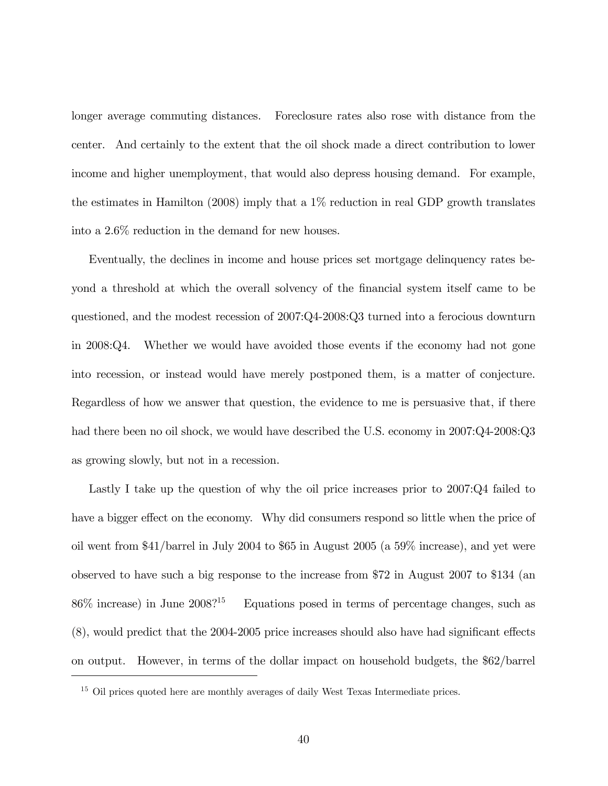longer average commuting distances. Foreclosure rates also rose with distance from the center. And certainly to the extent that the oil shock made a direct contribution to lower income and higher unemployment, that would also depress housing demand. For example, the estimates in Hamilton (2008) imply that a  $1\%$  reduction in real GDP growth translates into a 2.6% reduction in the demand for new houses.

Eventually, the declines in income and house prices set mortgage delinquency rates beyond a threshold at which the overall solvency of the financial system itself came to be questioned, and the modest recession of 2007:Q4-2008:Q3 turned into a ferocious downturn in 2008:Q4. Whether we would have avoided those events if the economy had not gone into recession, or instead would have merely postponed them, is a matter of conjecture. Regardless of how we answer that question, the evidence to me is persuasive that, if there had there been no oil shock, we would have described the U.S. economy in 2007:Q4-2008:Q3 as growing slowly, but not in a recession.

Lastly I take up the question of why the oil price increases prior to 2007:Q4 failed to have a bigger effect on the economy. Why did consumers respond so little when the price of oil went from \$41/barrel in July 2004 to \$65 in August 2005 (a 59% increase), and yet were observed to have such a big response to the increase from \$72 in August 2007 to \$134 (an 86% increase) in June 2008?<sup>1</sup><sup>5</sup> Equations posed in terms of percentage changes, such as (8), would predict that the 2004-2005 price increases should also have had significant effects on output. However, in terms of the dollar impact on household budgets, the \$62/barrel

<sup>&</sup>lt;sup>15</sup> Oil prices quoted here are monthly averages of daily West Texas Intermediate prices.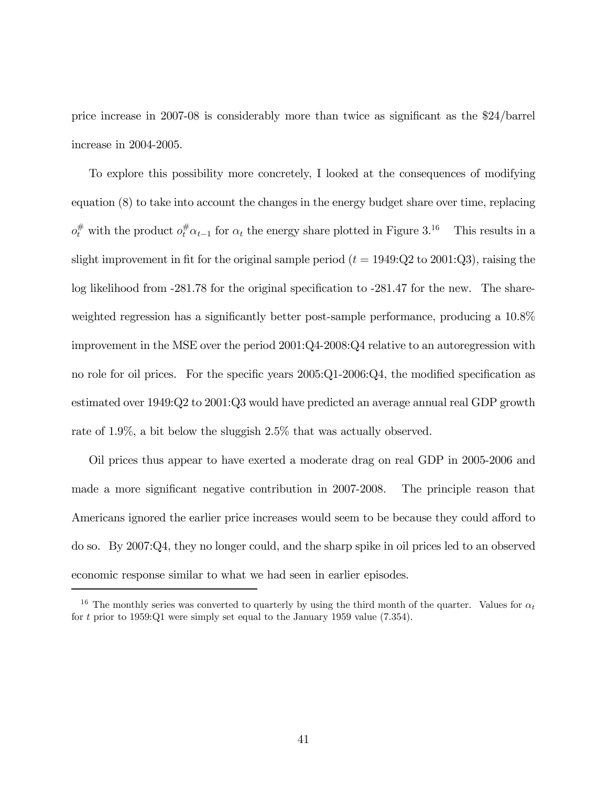price increase in 2007-08 is considerably more than twice as significant as the \$24/barrel increase in 2004-2005.

To explore this possibility more concretely, I looked at the consequences of modifying equation (8) to take into account the changes in the energy budget share over time, replacing  $o_t^{\#}$  with the product  $o_t^{\#}\alpha_{t-1}$  for  $\alpha_t$  the energy share plotted in Figure 3.<sup>16</sup> This results in a slight improvement in fit for the original sample period  $(t = 1949:Q2 \text{ to } 2001:Q3)$ , raising the log likelihood from -281.78 for the original specification to -281.47 for the new. The shareweighted regression has a significantly better post-sample performance, producing a 10.8% improvement in the MSE over the period 2001:Q4-2008:Q4 relative to an autoregression with no role for oil prices. For the specific years 2005:Q1-2006:Q4, the modified specification as estimated over 1949:Q2 to 2001:Q3 would have predicted an average annual real GDP growth rate of 1.9%, a bit below the sluggish 2.5% that was actually observed.

Oil prices thus appear to have exerted a moderate drag on real GDP in 2005-2006 and made a more significant negative contribution in 2007-2008. The principle reason that Americans ignored the earlier price increases would seem to be because they could afford to do so. By 2007:Q4, they no longer could, and the sharp spike in oil prices led to an observed economic response similar to what we had seen in earlier episodes.

<sup>&</sup>lt;sup>16</sup> The monthly series was converted to quarterly by using the third month of the quarter. Values for  $\alpha_t$ for t prior to 1959:Q1 were simply set equal to the January 1959 value (7.354).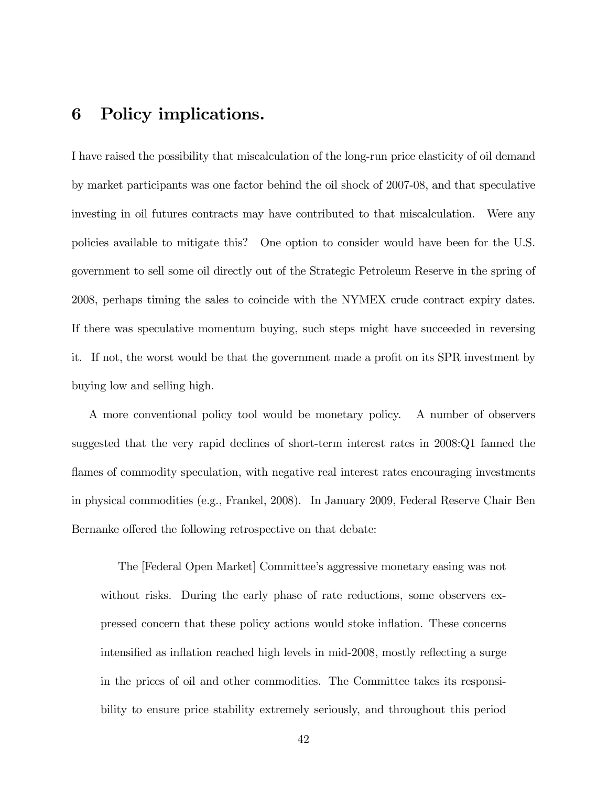### 6 Policy implications.

I have raised the possibility that miscalculation of the long-run price elasticity of oil demand by market participants was one factor behind the oil shock of 2007-08, and that speculative investing in oil futures contracts may have contributed to that miscalculation. Were any policies available to mitigate this? One option to consider would have been for the U.S. government to sell some oil directly out of the Strategic Petroleum Reserve in the spring of 2008, perhaps timing the sales to coincide with the NYMEX crude contract expiry dates. If there was speculative momentum buying, such steps might have succeeded in reversing it. If not, the worst would be that the government made a profit on its SPR investment by buying low and selling high.

A more conventional policy tool would be monetary policy. A number of observers suggested that the very rapid declines of short-term interest rates in 2008:Q1 fanned the flames of commodity speculation, with negative real interest rates encouraging investments in physical commodities (e.g., Frankel, 2008). In January 2009, Federal Reserve Chair Ben Bernanke offered the following retrospective on that debate:

The [Federal Open Market] Committee's aggressive monetary easing was not without risks. During the early phase of rate reductions, some observers expressed concern that these policy actions would stoke inflation. These concerns intensified as inflation reached high levels in mid-2008, mostly reflecting a surge in the prices of oil and other commodities. The Committee takes its responsibility to ensure price stability extremely seriously, and throughout this period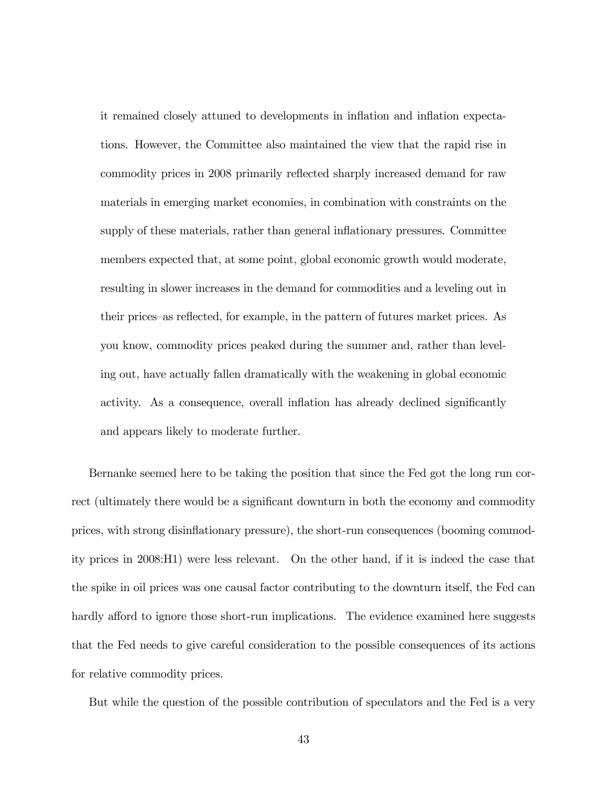it remained closely attuned to developments in inflation and inflation expectations. However, the Committee also maintained the view that the rapid rise in commodity prices in 2008 primarily reflected sharply increased demand for raw materials in emerging market economies, in combination with constraints on the supply of these materials, rather than general inflationary pressures. Committee members expected that, at some point, global economic growth would moderate, resulting in slower increases in the demand for commodities and a leveling out in their prices—as reflected, for example, in the pattern of futures market prices. As you know, commodity prices peaked during the summer and, rather than leveling out, have actually fallen dramatically with the weakening in global economic activity. As a consequence, overall inflation has already declined significantly and appears likely to moderate further.

Bernanke seemed here to be taking the position that since the Fed got the long run correct (ultimately there would be a significant downturn in both the economy and commodity prices, with strong disinflationary pressure), the short-run consequences (booming commodity prices in 2008:H1) were less relevant. On the other hand, if it is indeed the case that the spike in oil prices was one causal factor contributing to the downturn itself, the Fed can hardly afford to ignore those short-run implications. The evidence examined here suggests that the Fed needs to give careful consideration to the possible consequences of its actions for relative commodity prices.

But while the question of the possible contribution of speculators and the Fed is a very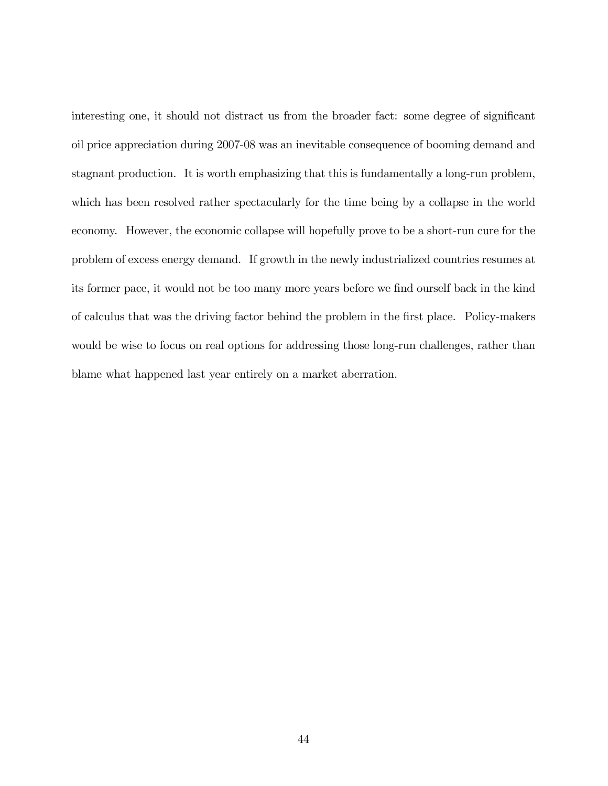interesting one, it should not distract us from the broader fact: some degree of significant oil price appreciation during 2007-08 was an inevitable consequence of booming demand and stagnant production. It is worth emphasizing that this is fundamentally a long-run problem, which has been resolved rather spectacularly for the time being by a collapse in the world economy. However, the economic collapse will hopefully prove to be a short-run cure for the problem of excess energy demand. If growth in the newly industrialized countries resumes at its former pace, it would not be too many more years before we find ourself back in the kind of calculus that was the driving factor behind the problem in the first place. Policy-makers would be wise to focus on real options for addressing those long-run challenges, rather than blame what happened last year entirely on a market aberration.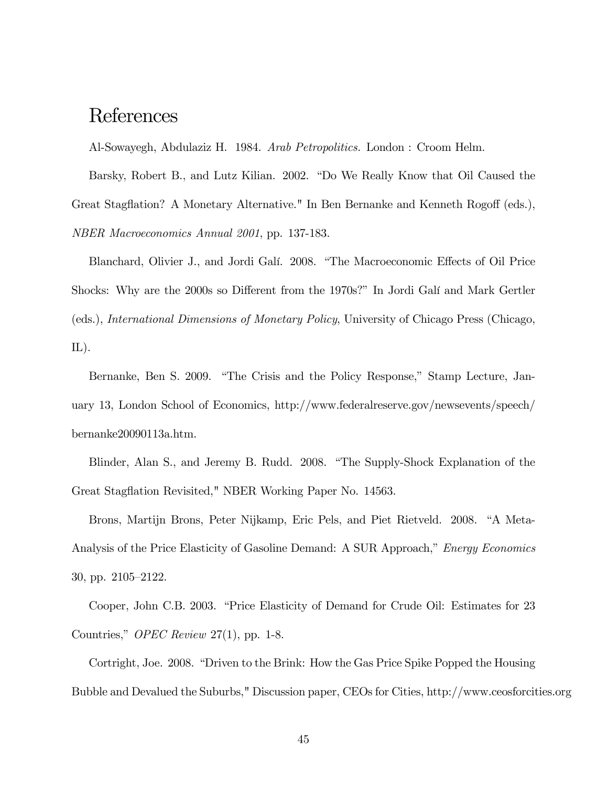## References

Al-Sowayegh, Abdulaziz H. 1984. Arab Petropolitics. London : Croom Helm.

Barsky, Robert B., and Lutz Kilian. 2002. "Do We Really Know that Oil Caused the

Great Stagflation? A Monetary Alternative." In Ben Bernanke and Kenneth Rogoff (eds.), NBER Macroeconomics Annual 2001, pp. 137-183.

Blanchard, Olivier J., and Jordi Galí. 2008. "The Macroeconomic Effects of Oil Price Shocks: Why are the 2000s so Different from the 1970s?" In Jordi Galí and Mark Gertler (eds.), International Dimensions of Monetary Policy, University of Chicago Press (Chicago,  $IL$ ).

Bernanke, Ben S. 2009. "The Crisis and the Policy Response," Stamp Lecture, January 13, London School of Economics, http://www.federalreserve.gov/newsevents/speech/ bernanke20090113a.htm.

Blinder, Alan S., and Jeremy B. Rudd. 2008. "The Supply-Shock Explanation of the Great Stagflation Revisited," NBER Working Paper No. 14563.

Brons, Martijn Brons, Peter Nijkamp, Eric Pels, and Piet Rietveld. 2008. "A Meta-Analysis of the Price Elasticity of Gasoline Demand: A SUR Approach," Energy Economics 30, pp. 2105—2122.

Cooper, John C.B. 2003. "Price Elasticity of Demand for Crude Oil: Estimates for 23 Countries," OPEC Review 27(1), pp. 1-8.

Cortright, Joe. 2008. "Driven to the Brink: How the Gas Price Spike Popped the Housing Bubble and Devalued the Suburbs," Discussion paper, CEOs for Cities, http://www.ceosforcities.org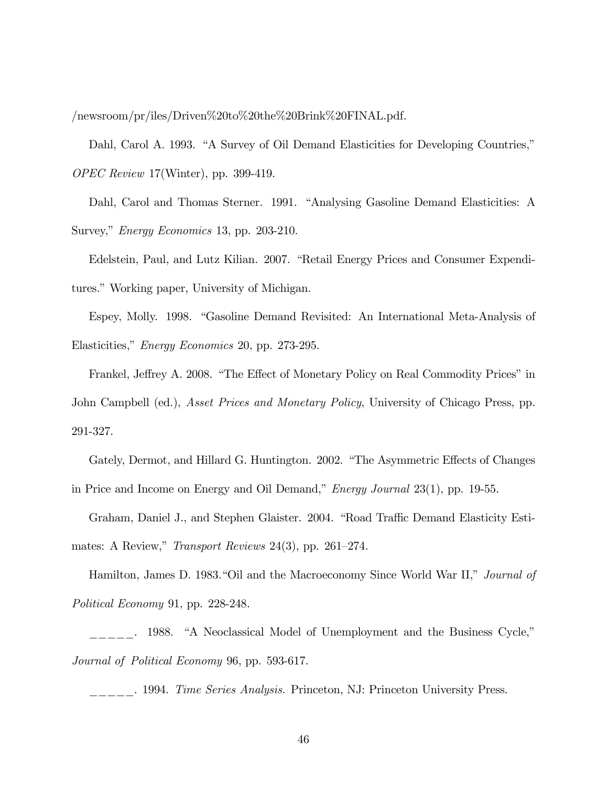/newsroom/pr/iles/Driven%20to%20the%20Brink%20FINAL.pdf.

Dahl, Carol A. 1993. "A Survey of Oil Demand Elasticities for Developing Countries," OPEC Review 17(Winter), pp. 399-419.

Dahl, Carol and Thomas Sterner. 1991. "Analysing Gasoline Demand Elasticities: A Survey," Energy Economics 13, pp. 203-210.

Edelstein, Paul, and Lutz Kilian. 2007. "Retail Energy Prices and Consumer Expenditures." Working paper, University of Michigan.

Espey, Molly. 1998. "Gasoline Demand Revisited: An International Meta-Analysis of Elasticities," Energy Economics 20, pp. 273-295.

Frankel, Jeffrey A. 2008. "The Effect of Monetary Policy on Real Commodity Prices" in John Campbell (ed.), *Asset Prices and Monetary Policy*, University of Chicago Press, pp. 291-327.

Gately, Dermot, and Hillard G. Huntington. 2002. "The Asymmetric Effects of Changes in Price and Income on Energy and Oil Demand," Energy Journal 23(1), pp. 19-55.

Graham, Daniel J., and Stephen Glaister. 2004. "Road Traffic Demand Elasticity Estimates: A Review," Transport Reviews 24(3), pp. 261—274.

Hamilton, James D. 1983."Oil and the Macroeconomy Since World War II," Journal of Political Economy 91, pp. 228-248.

<sub>\_\_\_\_\_</sub>. 1988. "A Neoclassical Model of Unemployment and the Business Cycle," Journal of Political Economy 96, pp. 593-617.

<sub>\_\_\_\_\_</sub>. 1994. *Time Series Analysis.* Princeton, NJ: Princeton University Press.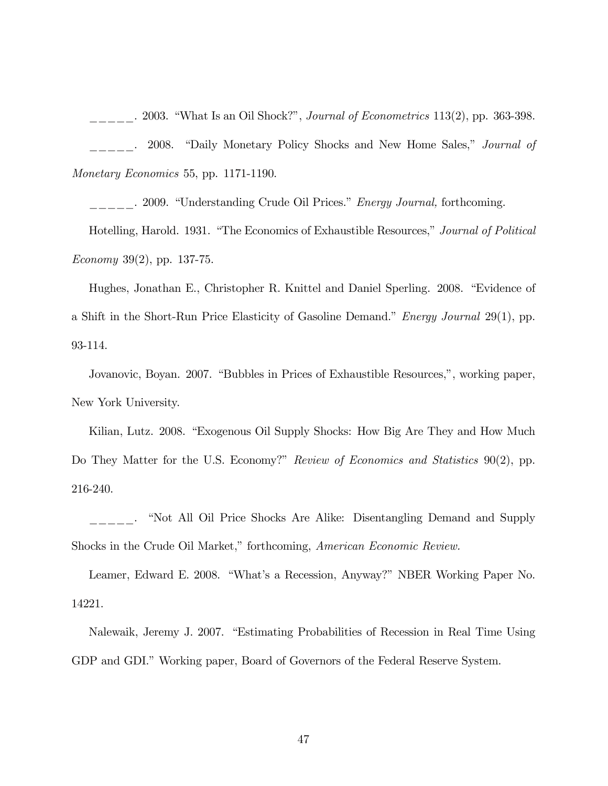$\frac{1}{1-\frac{1}{13(2)}}$ . 2003. "What Is an Oil Shock?", *Journal of Econometrics* 113(2), pp. 363-398. 2008. "Daily Monetary Policy Shocks and New Home Sales," Journal of Monetary Economics 55, pp. 1171-1190.

<sub>\_\_\_\_\_</sub>. 2009. "Understanding Crude Oil Prices." *Energy Journal*, forthcoming.

Hotelling, Harold. 1931. "The Economics of Exhaustible Resources," Journal of Political Economy 39 $(2)$ , pp. 137-75.

Hughes, Jonathan E., Christopher R. Knittel and Daniel Sperling. 2008. "Evidence of a Shift in the Short-Run Price Elasticity of Gasoline Demand." Energy Journal 29(1), pp. 93-114.

Jovanovic, Boyan. 2007. "Bubbles in Prices of Exhaustible Resources,", working paper, New York University.

Kilian, Lutz. 2008. "Exogenous Oil Supply Shocks: How Big Are They and How Much Do They Matter for the U.S. Economy?" Review of Economics and Statistics 90(2), pp. 216-240.

\_\_\_\_\_. "Not All Oil Price Shocks Are Alike: Disentangling Demand and Supply Shocks in the Crude Oil Market," forthcoming, American Economic Review.

Leamer, Edward E. 2008. "What's a Recession, Anyway?" NBER Working Paper No. 14221.

Nalewaik, Jeremy J. 2007. "Estimating Probabilities of Recession in Real Time Using GDP and GDI." Working paper, Board of Governors of the Federal Reserve System.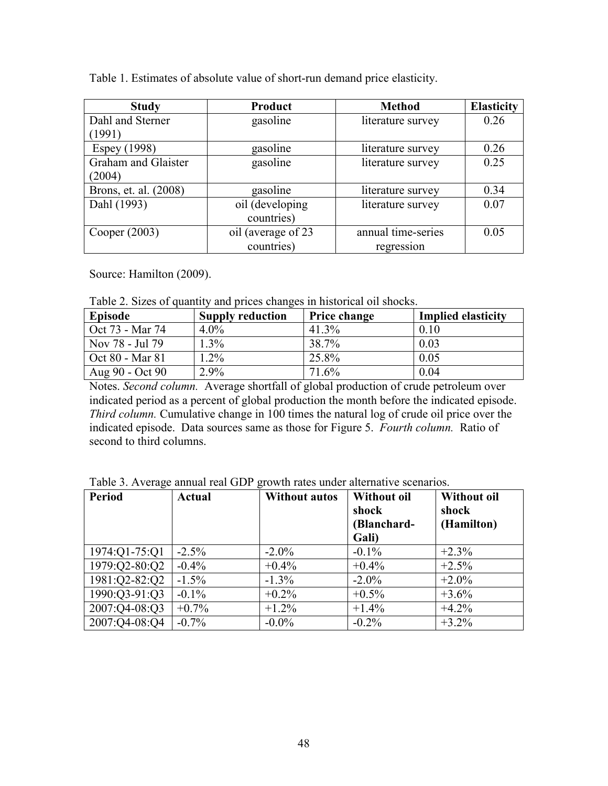Table 1. Estimates of absolute value of short-run demand price elasticity.

| <b>Study</b>          | Product            | <b>Method</b>      | <b>Elasticity</b> |
|-----------------------|--------------------|--------------------|-------------------|
| Dahl and Sterner      | gasoline           | literature survey  | 0.26              |
| (1991)                |                    |                    |                   |
| Espey (1998)          | gasoline           | literature survey  | 0.26              |
| Graham and Glaister   | gasoline           | literature survey  | 0.25              |
| (2004)                |                    |                    |                   |
| Brons, et. al. (2008) | gasoline           | literature survey  | 0.34              |
| Dahl (1993)           | oil (developing    | literature survey  | 0.07              |
|                       | countries)         |                    |                   |
| Cooper (2003)         | oil (average of 23 | annual time-series | 0.05              |
|                       | countries)         | regression         |                   |

Source: Hamilton (2009).

Table 2. Sizes of quantity and prices changes in historical oil shocks.

| <b>Episode</b>  | <b>Supply reduction</b> | <b>Price change</b> | <b>Implied elasticity</b> |
|-----------------|-------------------------|---------------------|---------------------------|
| Oct 73 - Mar 74 | $4.0\%$                 | 41.3%               | 010                       |
| Nov 78 - Jul 79 | 1.3%                    | 38.7%               | 0.03                      |
| Oct 80 - Mar 81 | 1.2%                    | 25.8%               | 0.05                      |
| Aug 90 - Oct 90 | $2.9\%$                 | 71.6%               | 0.04                      |

Notes. *Second column.* Average shortfall of global production of crude petroleum over indicated period as a percent of global production the month before the indicated episode. *Third column.* Cumulative change in 100 times the natural log of crude oil price over the indicated episode. Data sources same as those for Figure 5. *Fourth column.* Ratio of second to third columns.

| <b>Period</b> | <b>Actual</b> | <b>Without autos</b> | <b>Without oil</b><br>shock<br>(Blanchard-<br>Gali) | Without oil<br>shock<br>(Hamilton) |
|---------------|---------------|----------------------|-----------------------------------------------------|------------------------------------|
| 1974:Q1-75:Q1 | $-2.5\%$      | $-2.0\%$             | $-0.1\%$                                            | $+2.3%$                            |
| 1979:Q2-80:Q2 | $-0.4\%$      | $+0.4\%$             | $+0.4%$                                             | $+2.5%$                            |
| 1981:Q2-82:Q2 | $-1.5\%$      | $-1.3\%$             | $-2.0\%$                                            | $+2.0\%$                           |
| 1990:Q3-91:Q3 | $-0.1\%$      | $+0.2\%$             | $+0.5\%$                                            | $+3.6%$                            |
| 2007:Q4-08:Q3 | $+0.7\%$      | $+1.2\%$             | $+1.4%$                                             | $+4.2%$                            |
| 2007:Q4-08:Q4 | $-0.7\%$      | $-0.0\%$             | $-0.2\%$                                            | $+3.2\%$                           |

Table 3. Average annual real GDP growth rates under alternative scenarios.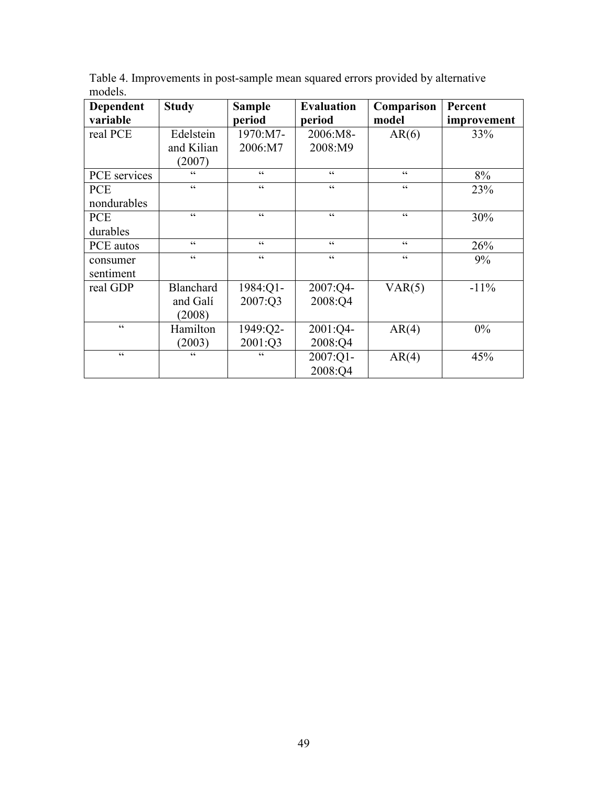| Dependent                   | <b>Study</b>                                      | <b>Sample</b>                                     | <b>Evaluation</b>                                 | Comparison                                        | Percent     |
|-----------------------------|---------------------------------------------------|---------------------------------------------------|---------------------------------------------------|---------------------------------------------------|-------------|
| variable                    |                                                   | period                                            | period                                            | model                                             | improvement |
| real PCE                    | Edelstein                                         | 1970:M7-                                          | 2006:M8-                                          | AR(6)                                             | 33%         |
|                             | and Kilian                                        | 2006:M7                                           | 2008:M9                                           |                                                   |             |
|                             | (2007)                                            |                                                   |                                                   |                                                   |             |
| PCE services                | cc                                                | $\epsilon$                                        | $\epsilon$                                        | $\boldsymbol{\varsigma}$ $\boldsymbol{\varsigma}$ | 8%          |
| <b>PCE</b>                  | $\epsilon$                                        | cc                                                | cc                                                | $\boldsymbol{\varsigma}$ $\boldsymbol{\varsigma}$ | 23%         |
| nondurables                 |                                                   |                                                   |                                                   |                                                   |             |
| <b>PCE</b>                  | $\boldsymbol{\varsigma}$ $\boldsymbol{\varsigma}$ | $\boldsymbol{\varsigma}$ $\boldsymbol{\varsigma}$ | $\boldsymbol{\varsigma}$ $\boldsymbol{\varsigma}$ | $\boldsymbol{\varsigma}$ $\boldsymbol{\varsigma}$ | 30%         |
| durables                    |                                                   |                                                   |                                                   |                                                   |             |
| PCE autos                   | $\boldsymbol{\varsigma}$ $\boldsymbol{\varsigma}$ | $\boldsymbol{\varsigma}$ $\boldsymbol{\varsigma}$ | cc                                                | $\boldsymbol{\varsigma}$ $\boldsymbol{\varsigma}$ | 26%         |
| consumer                    | $\epsilon$                                        | cc                                                | cc                                                | $\boldsymbol{\varsigma}$ $\boldsymbol{\varsigma}$ | 9%          |
| sentiment                   |                                                   |                                                   |                                                   |                                                   |             |
| real GDP                    | <b>Blanchard</b>                                  | 1984:Q1-                                          | 2007:Q4-                                          | VAR(5)                                            | $-11\%$     |
|                             | and Galí                                          | 2007:Q3                                           | 2008:Q4                                           |                                                   |             |
|                             | (2008)                                            |                                                   |                                                   |                                                   |             |
| $\zeta \, \zeta$            | Hamilton                                          | 1949:Q2-                                          | 2001:Q4-                                          | AR(4)                                             | 0%          |
|                             | (2003)                                            | 2001:Q3                                           | 2008:Q4                                           |                                                   |             |
| $\pmb{\zeta}$ $\pmb{\zeta}$ | $\boldsymbol{\varsigma}$ $\boldsymbol{\varsigma}$ | cc                                                | 2007:Q1-                                          | AR(4)                                             | 45%         |
|                             |                                                   |                                                   | 2008:Q4                                           |                                                   |             |

Table 4. Improvements in post-sample mean squared errors provided by alternative models.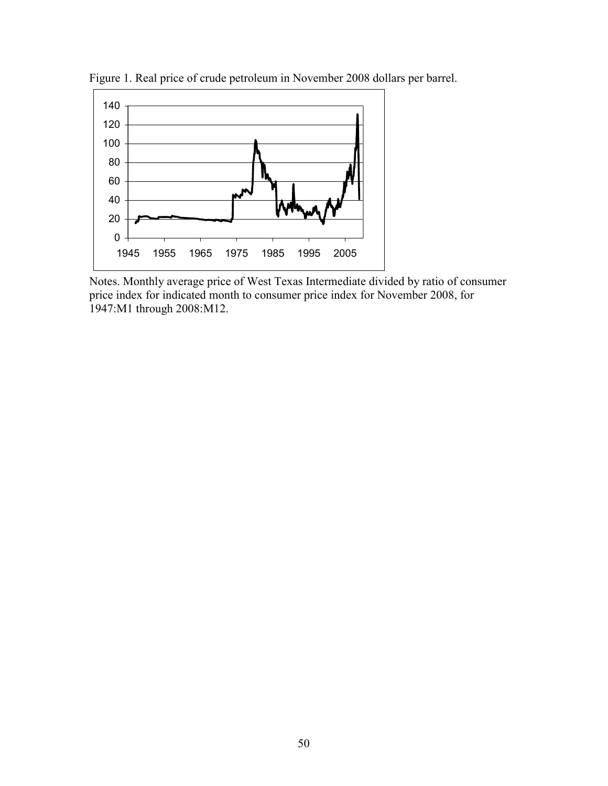

Figure 1. Real price of crude petroleum in November 2008 dollars per barrel.

Notes. Monthly average price of West Texas Intermediate divided by ratio of consumer price index for indicated month to consumer price index for November 2008, for 1947:M1 through 2008:M12.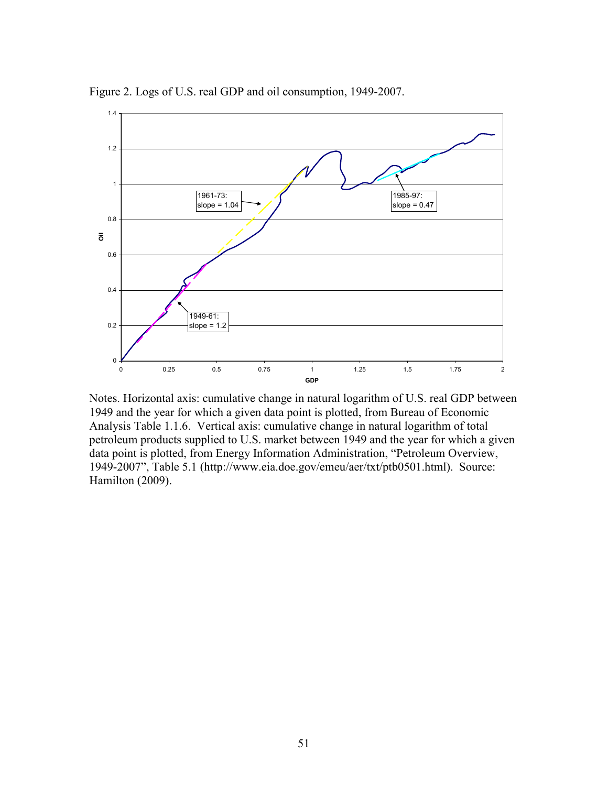

Figure 2. Logs of U.S. real GDP and oil consumption, 1949-2007.

Notes. Horizontal axis: cumulative change in natural logarithm of U.S. real GDP between 1949 and the year for which a given data point is plotted, from Bureau of Economic Analysis Table 1.1.6. Vertical axis: cumulative change in natural logarithm of total petroleum products supplied to U.S. market between 1949 and the year for which a given data point is plotted, from Energy Information Administration, "Petroleum Overview, 1949-2007", Table 5.1 (http://www.eia.doe.gov/emeu/aer/txt/ptb0501.html). Source: Hamilton (2009).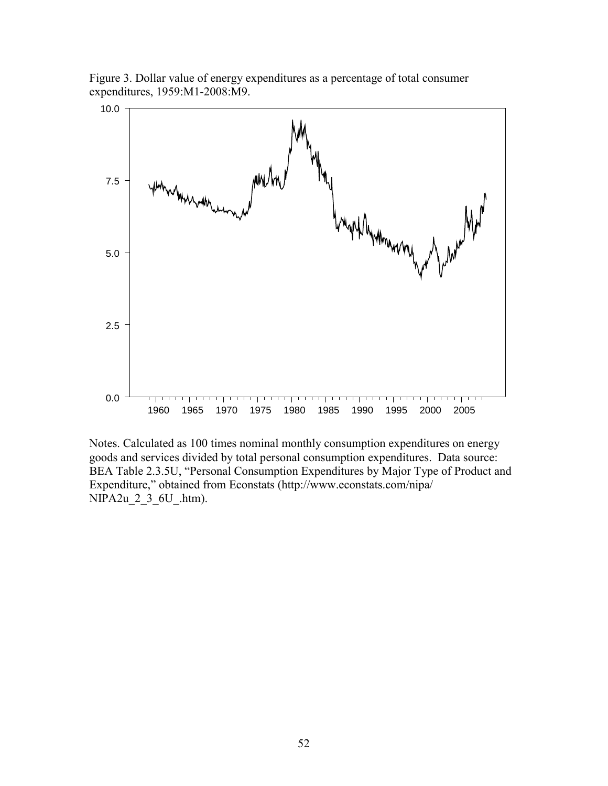

Figure 3. Dollar value of energy expenditures as a percentage of total consumer expenditures, 1959:M1-2008:M9.

Notes. Calculated as 100 times nominal monthly consumption expenditures on energy goods and services divided by total personal consumption expenditures. Data source: BEA Table 2.3.5U, "Personal Consumption Expenditures by Major Type of Product and Expenditure," obtained from Econstats (http://www.econstats.com/nipa/ NIPA2u\_2\_3\_6U\_.htm).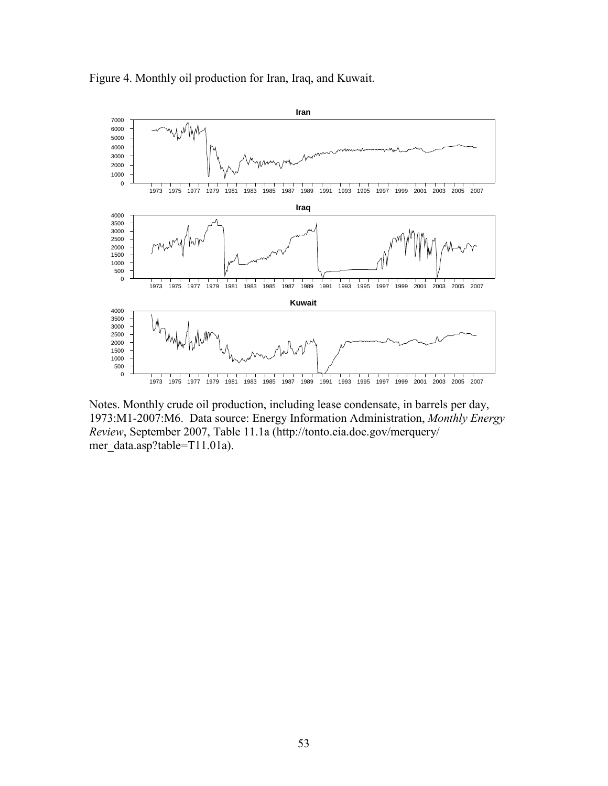



Notes. Monthly crude oil production, including lease condensate, in barrels per day, 1973:M1-2007:M6. Data source: Energy Information Administration, *Monthly Energy Review*, September 2007, Table 11.1a (http://tonto.eia.doe.gov/merquery/ mer\_data.asp?table=T11.01a).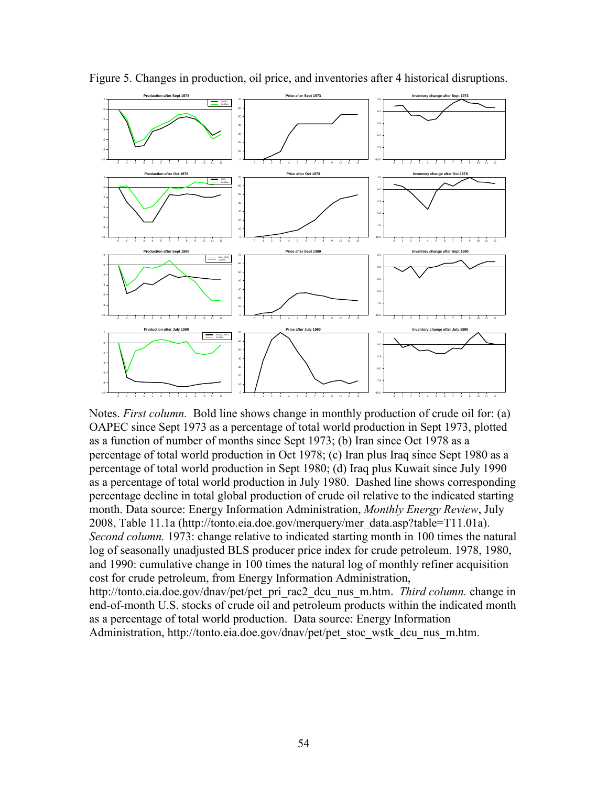

Figure 5. Changes in production, oil price, and inventories after 4 historical disruptions.

Notes. *First column.* Bold line shows change in monthly production of crude oil for: (a) OAPEC since Sept 1973 as a percentage of total world production in Sept 1973, plotted as a function of number of months since Sept 1973; (b) Iran since Oct 1978 as a percentage of total world production in Oct 1978; (c) Iran plus Iraq since Sept 1980 as a percentage of total world production in Sept 1980; (d) Iraq plus Kuwait since July 1990 as a percentage of total world production in July 1980. Dashed line shows corresponding percentage decline in total global production of crude oil relative to the indicated starting month. Data source: Energy Information Administration, *Monthly Energy Review*, July 2008, Table 11.1a (http://tonto.eia.doe.gov/merquery/mer\_data.asp?table=T11.01a). *Second column.* 1973: change relative to indicated starting month in 100 times the natural log of seasonally unadjusted BLS producer price index for crude petroleum. 1978, 1980, and 1990: cumulative change in 100 times the natural log of monthly refiner acquisition cost for crude petroleum, from Energy Information Administration, http://tonto.eia.doe.gov/dnav/pet/pet\_pri\_rac2\_dcu\_nus\_m.htm. *Third column.* change in end-of-month U.S. stocks of crude oil and petroleum products within the indicated month as a percentage of total world production. Data source: Energy Information Administration, http://tonto.eia.doe.gov/dnav/pet/pet\_stoc\_wstk\_dcu\_nus\_m.htm.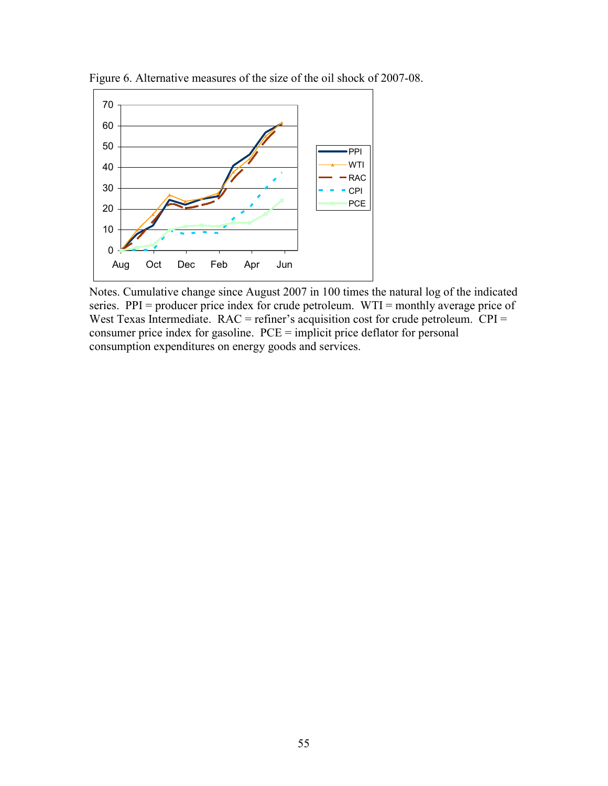

Figure 6. Alternative measures of the size of the oil shock of 2007-08.

Notes. Cumulative change since August 2007 in 100 times the natural log of the indicated series. PPI = producer price index for crude petroleum. WTI = monthly average price of West Texas Intermediate. RAC = refiner's acquisition cost for crude petroleum. CPI = consumer price index for gasoline. PCE = implicit price deflator for personal consumption expenditures on energy goods and services.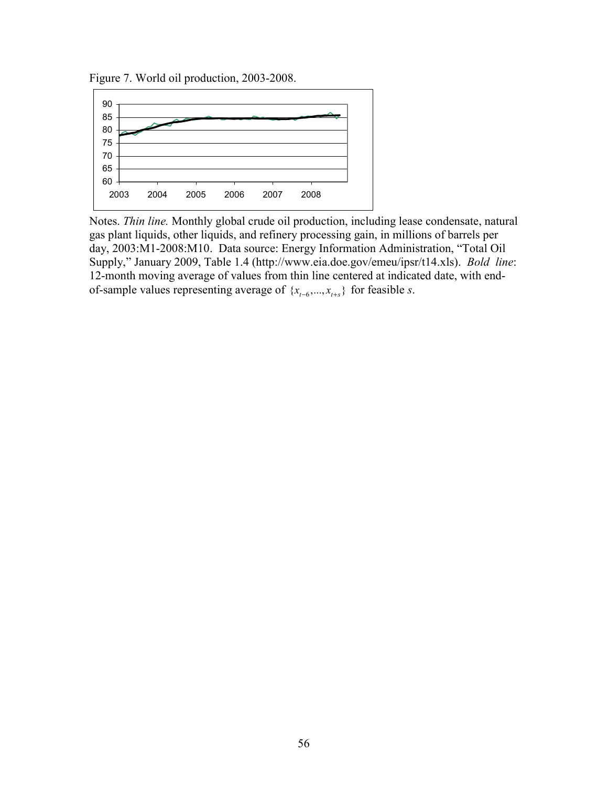Figure 7. World oil production, 2003-2008.



Notes. *Thin line.* Monthly global crude oil production, including lease condensate, natural gas plant liquids, other liquids, and refinery processing gain, in millions of barrels per day, 2003:M1-2008:M10. Data source: Energy Information Administration, "Total Oil Supply," January 2009, Table 1.4 (http://www.eia.doe.gov/emeu/ipsr/t14.xls). *Bold line*: 12-month moving average of values from thin line centered at indicated date, with endof-sample values representing average of  $\{x_{t-6},...,x_{t+s}\}\$  for feasible *s*.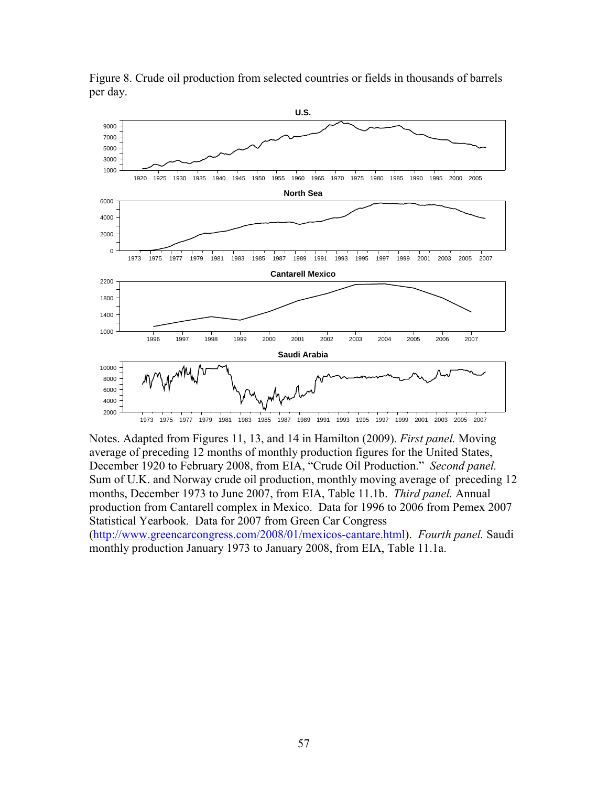

Figure 8. Crude oil production from selected countries or fields in thousands of barrels per day.

Notes. Adapted from Figures 11, 13, and 14 in Hamilton (2009). *First panel.* Moving average of preceding 12 months of monthly production figures for the United States, December 1920 to February 2008, from EIA, "Crude Oil Production." *Second panel.*  Sum of U.K. and Norway crude oil production, monthly moving average of preceding 12 months, December 1973 to June 2007, from EIA, Table 11.1b. *Third panel.* Annual production from Cantarell complex in Mexico. Data for 1996 to 2006 from Pemex 2007 Statistical Yearbook. Data for 2007 from Green Car Congress (http://www.greencarcongress.com/2008/01/mexicos-cantare.html). *Fourth panel.* Saudi monthly production January 1973 to January 2008, from EIA, Table 11.1a.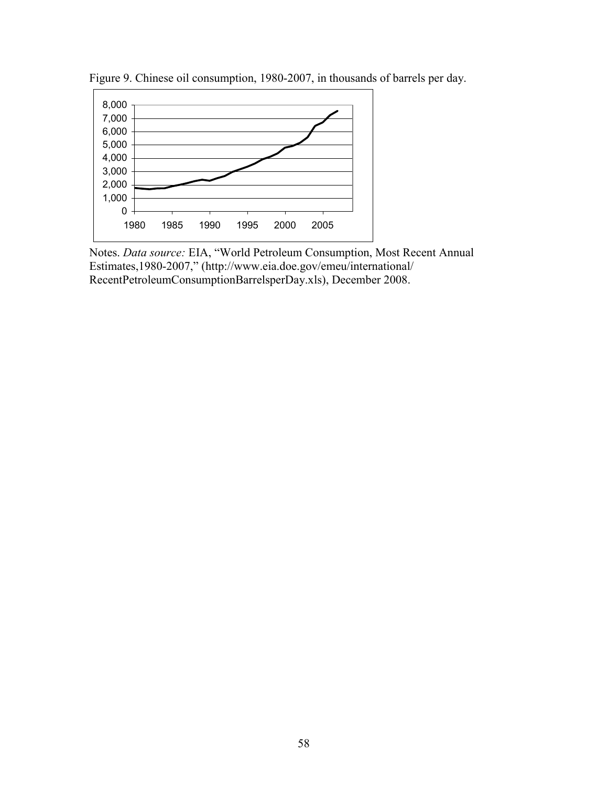

Figure 9. Chinese oil consumption, 1980-2007, in thousands of barrels per day.

Notes. *Data source:* EIA, "World Petroleum Consumption, Most Recent Annual Estimates,1980-2007," (http://www.eia.doe.gov/emeu/international/ RecentPetroleumConsumptionBarrelsperDay.xls), December 2008.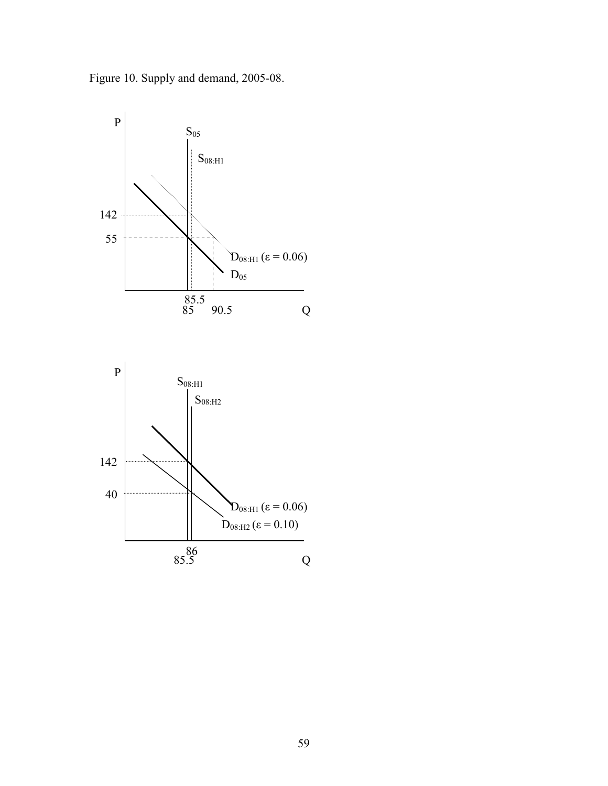Figure 10. Supply and demand, 2005-08.



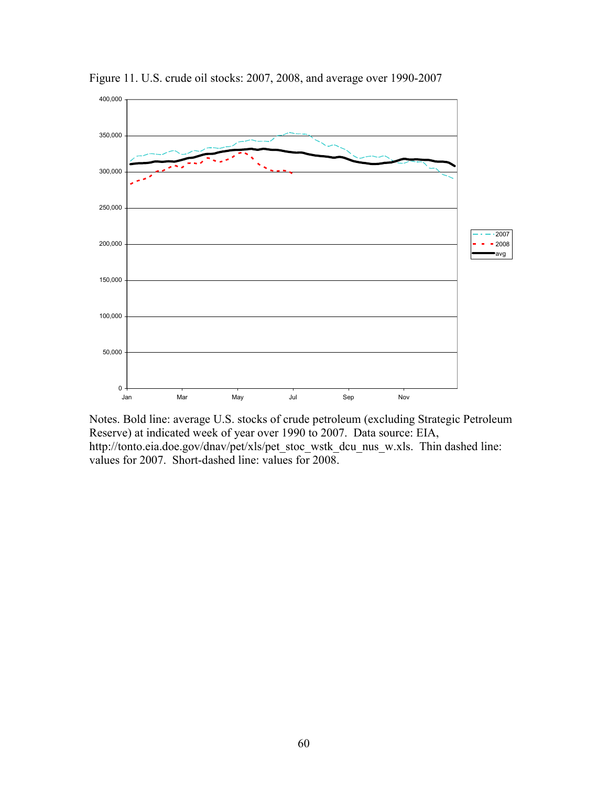

Figure 11. U.S. crude oil stocks: 2007, 2008, and average over 1990-2007

Notes. Bold line: average U.S. stocks of crude petroleum (excluding Strategic Petroleum Reserve) at indicated week of year over 1990 to 2007. Data source: EIA, http://tonto.eia.doe.gov/dnav/pet/xls/pet\_stoc\_wstk\_dcu\_nus\_w.xls. Thin dashed line: values for 2007. Short-dashed line: values for 2008.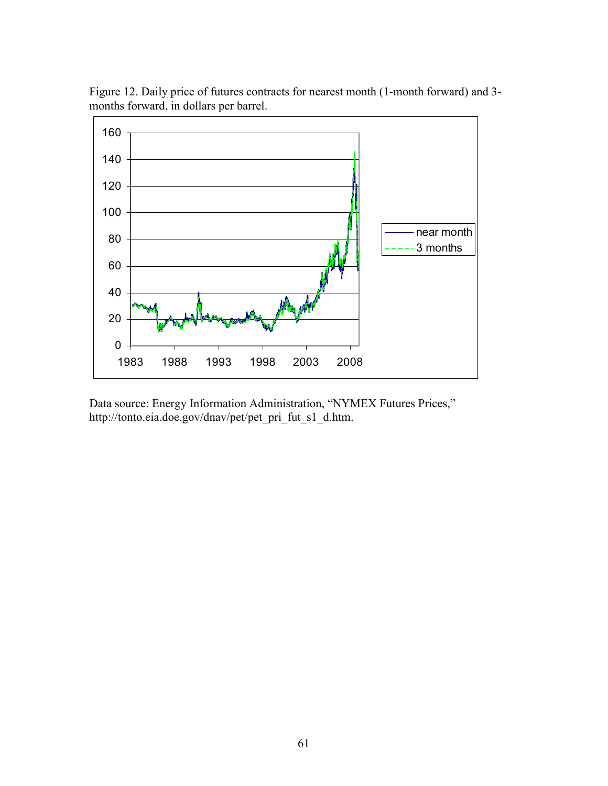

Figure 12. Daily price of futures contracts for nearest month (1-month forward) and 3 months forward, in dollars per barrel.

Data source: Energy Information Administration, "NYMEX Futures Prices," http://tonto.eia.doe.gov/dnav/pet/pet\_pri\_fut\_s1\_d.htm.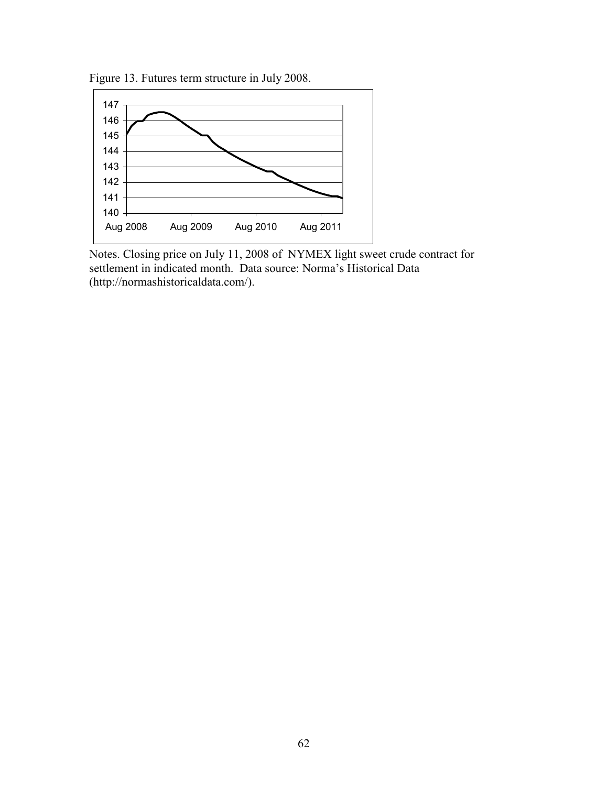

Figure 13. Futures term structure in July 2008.

Notes. Closing price on July 11, 2008 of NYMEX light sweet crude contract for settlement in indicated month. Data source: Norma's Historical Data (http://normashistoricaldata.com/).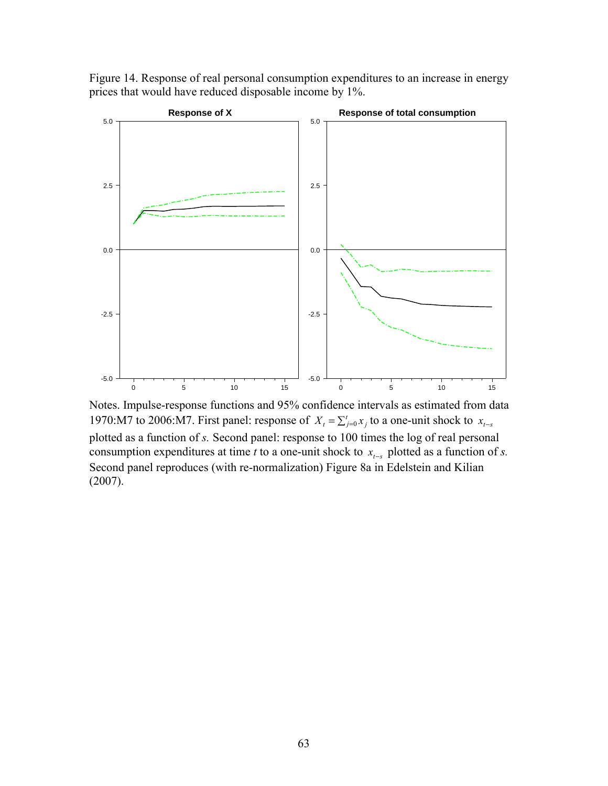Figure 14. Response of real personal consumption expenditures to an increase in energy prices that would have reduced disposable income by 1%.



Notes. Impulse-response functions and 95% confidence intervals as estimated from data 1970:M7 to 2006:M7. First panel: response of  $X_t = \sum_{j=0}^{t} x_j$  to a one-unit shock to  $x_{t-s}$ plotted as a function of *s.* Second panel: response to 100 times the log of real personal consumption expenditures at time *t* to a one-unit shock to  $x_{t-s}$  plotted as a function of *s*. Second panel reproduces (with re-normalization) Figure 8a in Edelstein and Kilian (2007).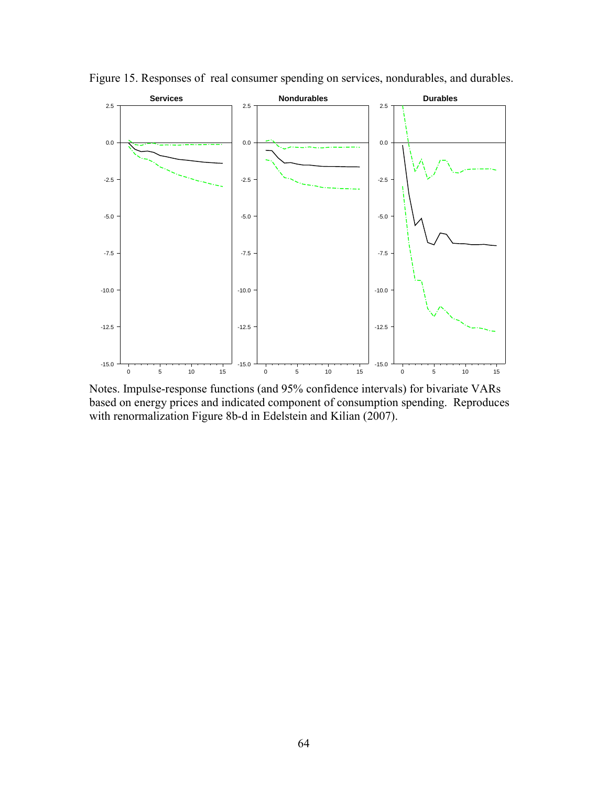

Figure 15. Responses of real consumer spending on services, nondurables, and durables.

Notes. Impulse-response functions (and 95% confidence intervals) for bivariate VARs based on energy prices and indicated component of consumption spending. Reproduces with renormalization Figure 8b-d in Edelstein and Kilian (2007).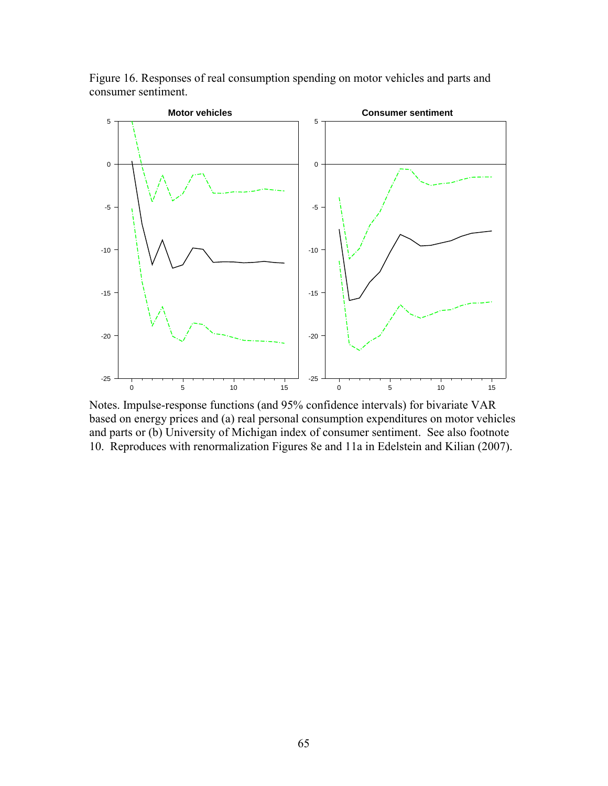Figure 16. Responses of real consumption spending on motor vehicles and parts and consumer sentiment.



Notes. Impulse-response functions (and 95% confidence intervals) for bivariate VAR based on energy prices and (a) real personal consumption expenditures on motor vehicles and parts or (b) University of Michigan index of consumer sentiment. See also footnote 10. Reproduces with renormalization Figures 8e and 11a in Edelstein and Kilian (2007).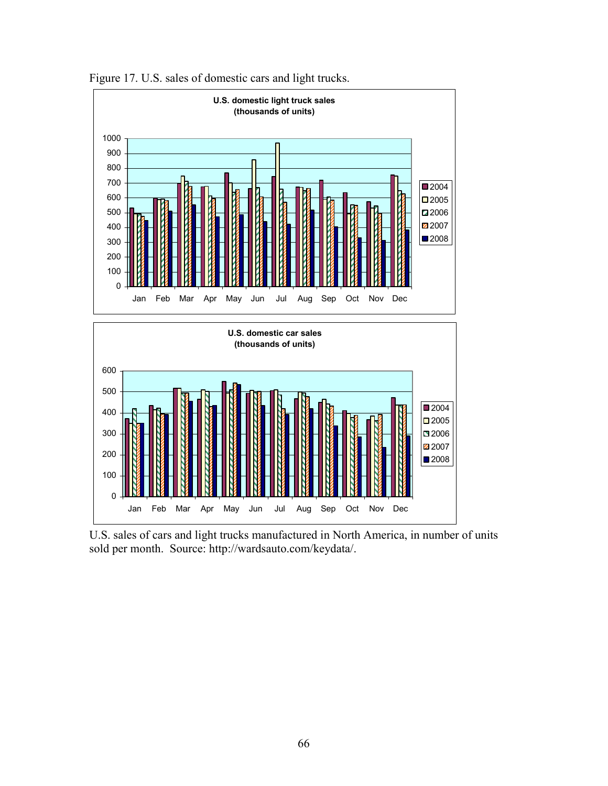

Figure 17. U.S. sales of domestic cars and light trucks.

U.S. sales of cars and light trucks manufactured in North America, in number of units sold per month. Source: http://wardsauto.com/keydata/.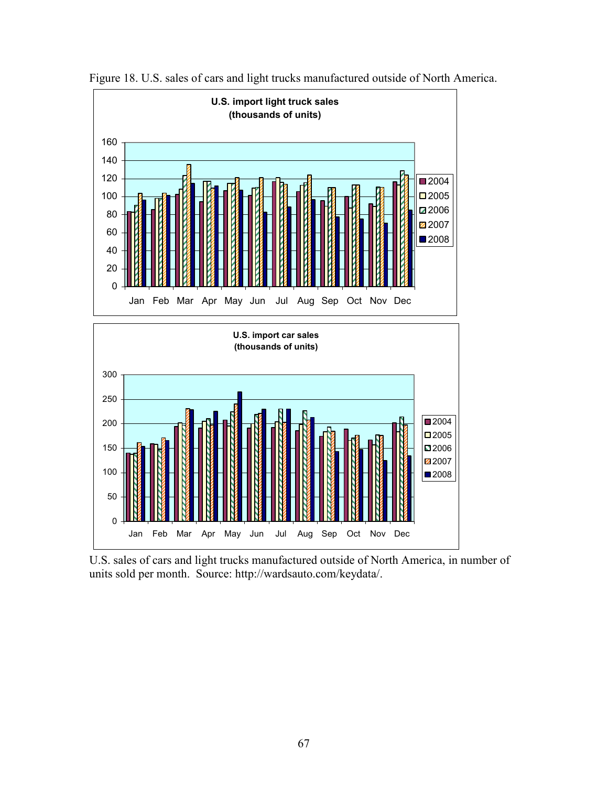

Figure 18. U.S. sales of cars and light trucks manufactured outside of North America.

U.S. sales of cars and light trucks manufactured outside of North America, in number of units sold per month. Source: http://wardsauto.com/keydata/.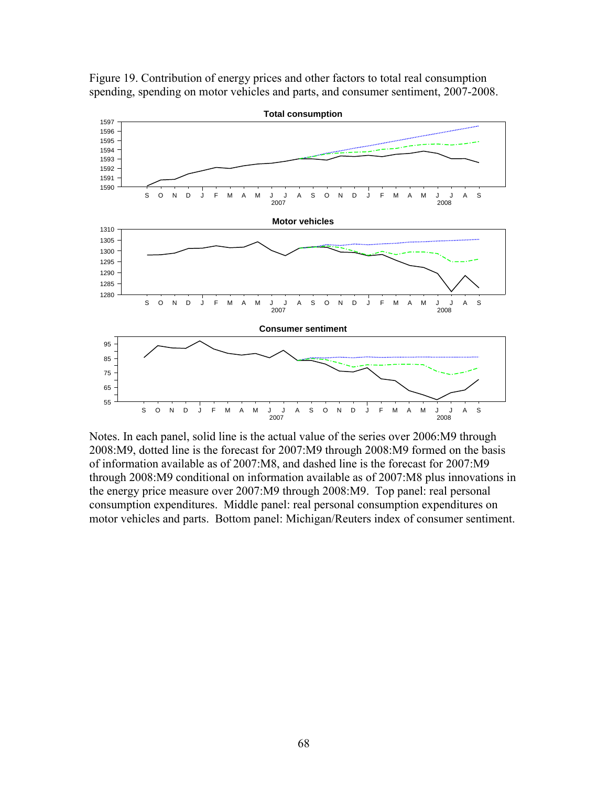

Figure 19. Contribution of energy prices and other factors to total real consumption spending, spending on motor vehicles and parts, and consumer sentiment, 2007-2008.

Notes. In each panel, solid line is the actual value of the series over 2006:M9 through 2008:M9, dotted line is the forecast for 2007:M9 through 2008:M9 formed on the basis of information available as of 2007:M8, and dashed line is the forecast for 2007:M9 through 2008:M9 conditional on information available as of 2007:M8 plus innovations in the energy price measure over 2007:M9 through 2008:M9. Top panel: real personal consumption expenditures. Middle panel: real personal consumption expenditures on motor vehicles and parts. Bottom panel: Michigan/Reuters index of consumer sentiment.